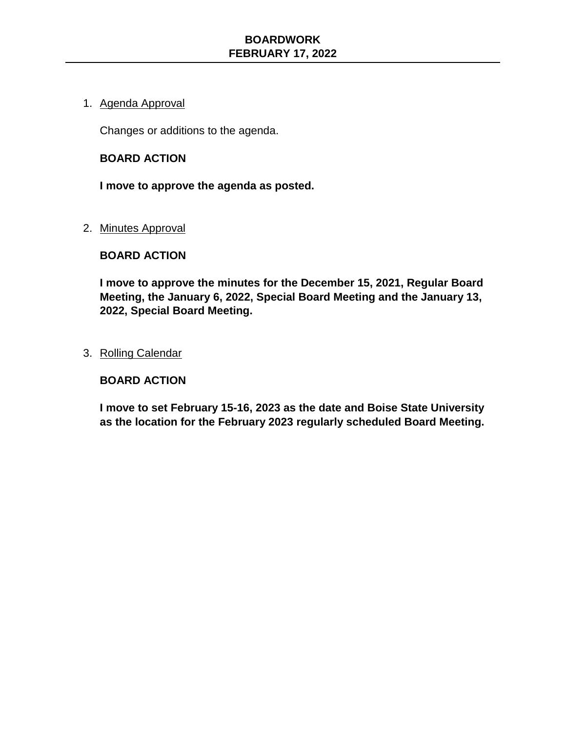### 1. Agenda Approval

Changes or additions to the agenda.

#### **BOARD ACTION**

**I move to approve the agenda as posted.** 

#### 2. Minutes Approval

### **BOARD ACTION**

**I move to approve the minutes for the December 15, 2021, Regular Board Meeting, the January 6, 2022, Special Board Meeting and the January 13, 2022, Special Board Meeting.** 

#### 3. Rolling Calendar

### **BOARD ACTION**

**I move to set February 15-16, 2023 as the date and Boise State University as the location for the February 2023 regularly scheduled Board Meeting.**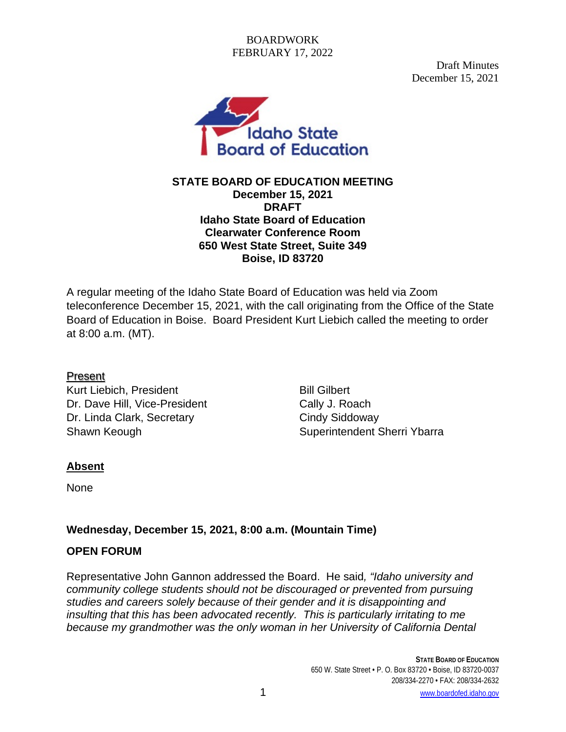Draft Minutes December 15, 2021



**STATE BOARD OF EDUCATION MEETING December 15, 2021 DRAFT Idaho State Board of Education Clearwater Conference Room 650 West State Street, Suite 349 Boise, ID 83720**

A regular meeting of the Idaho State Board of Education was held via Zoom teleconference December 15, 2021, with the call originating from the Office of the State Board of Education in Boise. Board President Kurt Liebich called the meeting to order at 8:00 a.m. (MT).

# Present

Kurt Liebich, President Bill Gilbert Dr. Dave Hill, Vice-President Cally J. Roach Dr. Linda Clark, Secretary Cindy Siddoway Shawn Keough Shawn Keough Shawn Keough Shawn Superintendent Sherri Ybarra

# **Absent**

None

# **Wednesday, December 15, 2021, 8:00 a.m. (Mountain Time)**

# **OPEN FORUM**

Representative John Gannon addressed the Board. He said*, "Idaho university and community college students should not be discouraged or prevented from pursuing studies and careers solely because of their gender and it is disappointing and insulting that this has been advocated recently. This is particularly irritating to me because my grandmother was the only woman in her University of California Dental*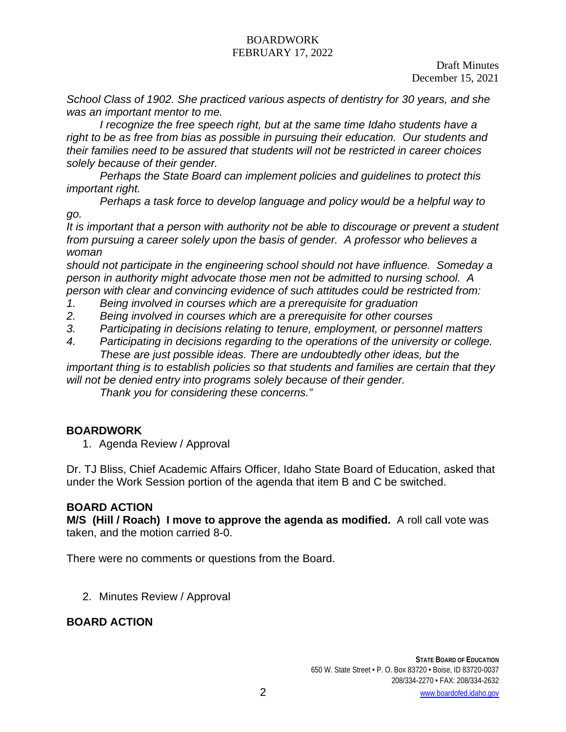Draft Minutes December 15, 2021

*School Class of 1902. She practiced various aspects of dentistry for 30 years, and she was an important mentor to me.* 

*I* recognize the free speech right, but at the same time Idaho students have a *right to be as free from bias as possible in pursuing their education. Our students and their families need to be assured that students will not be restricted in career choices solely because of their gender.* 

*Perhaps the State Board can implement policies and guidelines to protect this important right.* 

*Perhaps a task force to develop language and policy would be a helpful way to go.* 

*It is important that a person with authority not be able to discourage or prevent a student from pursuing a career solely upon the basis of gender. A professor who believes a woman* 

*should not participate in the engineering school should not have influence. Someday a person in authority might advocate those men not be admitted to nursing school. A person with clear and convincing evidence of such attitudes could be restricted from:*

- *1. Being involved in courses which are a prerequisite for graduation*
- *2. Being involved in courses which are a prerequisite for other courses*
- *3. Participating in decisions relating to tenure, employment, or personnel matters*
- *4. Participating in decisions regarding to the operations of the university or college. These are just possible ideas. There are undoubtedly other ideas, but the*

*important thing is to establish policies so that students and families are certain that they will not be denied entry into programs solely because of their gender.*

*Thank you for considering these concerns."*

# **BOARDWORK**

1. Agenda Review / Approval

Dr. TJ Bliss, Chief Academic Affairs Officer, Idaho State Board of Education, asked that under the Work Session portion of the agenda that item B and C be switched.

### **BOARD ACTION**

**M/S (Hill / Roach) I move to approve the agenda as modified.** A roll call vote was taken, and the motion carried 8-0.

There were no comments or questions from the Board.

2. Minutes Review / Approval

# **BOARD ACTION**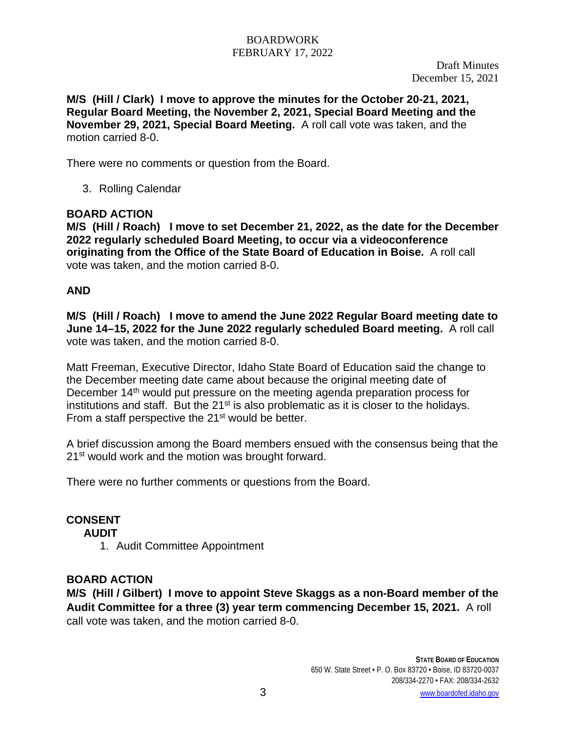**M/S (Hill / Clark) I move to approve the minutes for the October 20-21, 2021, Regular Board Meeting, the November 2, 2021, Special Board Meeting and the November 29, 2021, Special Board Meeting.** A roll call vote was taken, and the motion carried 8-0.

There were no comments or question from the Board.

3. Rolling Calendar

## **BOARD ACTION**

**M/S (Hill / Roach) I move to set December 21, 2022, as the date for the December 2022 regularly scheduled Board Meeting, to occur via a videoconference originating from the Office of the State Board of Education in Boise.** A roll call vote was taken, and the motion carried 8-0.

## **AND**

**M/S (Hill / Roach) I move to amend the June 2022 Regular Board meeting date to June 14–15, 2022 for the June 2022 regularly scheduled Board meeting.** A roll call vote was taken, and the motion carried 8-0.

Matt Freeman, Executive Director, Idaho State Board of Education said the change to the December meeting date came about because the original meeting date of December 14<sup>th</sup> would put pressure on the meeting agenda preparation process for institutions and staff. But the 21<sup>st</sup> is also problematic as it is closer to the holidays. From a staff perspective the 21<sup>st</sup> would be better.

A brief discussion among the Board members ensued with the consensus being that the 21<sup>st</sup> would work and the motion was brought forward.

There were no further comments or questions from the Board.

# **CONSENT**

**AUDIT**

1. Audit Committee Appointment

### **BOARD ACTION**

**M/S (Hill / Gilbert) I move to appoint Steve Skaggs as a non-Board member of the Audit Committee for a three (3) year term commencing December 15, 2021.** A roll call vote was taken, and the motion carried 8-0.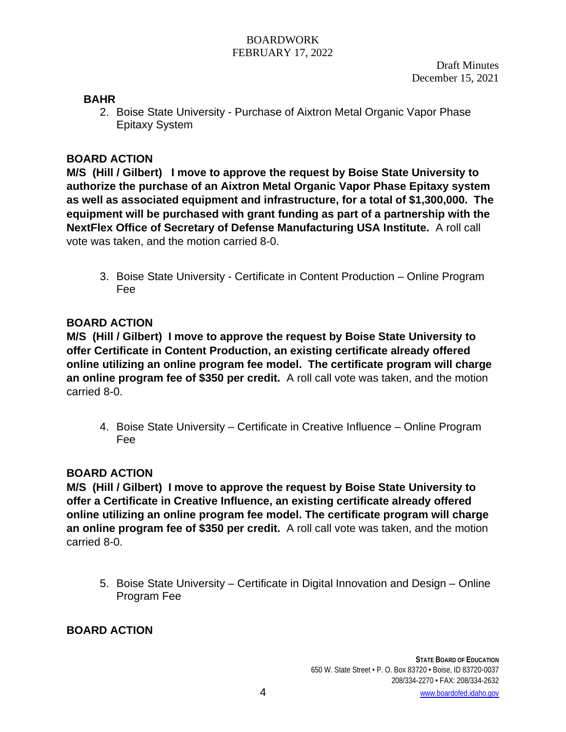## **BAHR**

2. Boise State University - Purchase of Aixtron Metal Organic Vapor Phase Epitaxy System

## **BOARD ACTION**

**M/S (Hill / Gilbert) I move to approve the request by Boise State University to authorize the purchase of an Aixtron Metal Organic Vapor Phase Epitaxy system as well as associated equipment and infrastructure, for a total of \$1,300,000. The equipment will be purchased with grant funding as part of a partnership with the NextFlex Office of Secretary of Defense Manufacturing USA Institute.** A roll call vote was taken, and the motion carried 8-0.

3. Boise State University - Certificate in Content Production – Online Program Fee

## **BOARD ACTION**

**M/S (Hill / Gilbert) I move to approve the request by Boise State University to offer Certificate in Content Production, an existing certificate already offered online utilizing an online program fee model. The certificate program will charge an online program fee of \$350 per credit.** A roll call vote was taken, and the motion carried 8-0.

4. Boise State University – Certificate in Creative Influence – Online Program Fee

# **BOARD ACTION**

**M/S (Hill / Gilbert) I move to approve the request by Boise State University to offer a Certificate in Creative Influence, an existing certificate already offered online utilizing an online program fee model. The certificate program will charge an online program fee of \$350 per credit.** A roll call vote was taken, and the motion carried 8-0.

5. Boise State University – Certificate in Digital Innovation and Design – Online Program Fee

# **BOARD ACTION**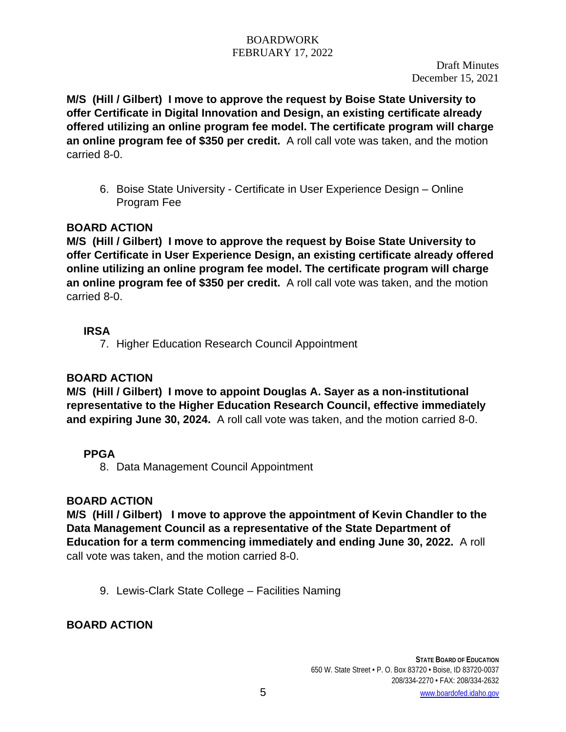**M/S (Hill / Gilbert) I move to approve the request by Boise State University to offer Certificate in Digital Innovation and Design, an existing certificate already offered utilizing an online program fee model. The certificate program will charge an online program fee of \$350 per credit.** A roll call vote was taken, and the motion carried 8-0.

6. Boise State University - Certificate in User Experience Design – Online Program Fee

# **BOARD ACTION**

**M/S (Hill / Gilbert) I move to approve the request by Boise State University to offer Certificate in User Experience Design, an existing certificate already offered online utilizing an online program fee model. The certificate program will charge an online program fee of \$350 per credit.** A roll call vote was taken, and the motion carried 8-0.

# **IRSA**

7. Higher Education Research Council Appointment

# **BOARD ACTION**

**M/S (Hill / Gilbert) I move to appoint Douglas A. Sayer as a non-institutional representative to the Higher Education Research Council, effective immediately and expiring June 30, 2024.** A roll call vote was taken, and the motion carried 8-0.

# **PPGA**

8. Data Management Council Appointment

# **BOARD ACTION**

**M/S (Hill / Gilbert) I move to approve the appointment of Kevin Chandler to the Data Management Council as a representative of the State Department of Education for a term commencing immediately and ending June 30, 2022.** A roll call vote was taken, and the motion carried 8-0.

9. Lewis-Clark State College – Facilities Naming

# **BOARD ACTION**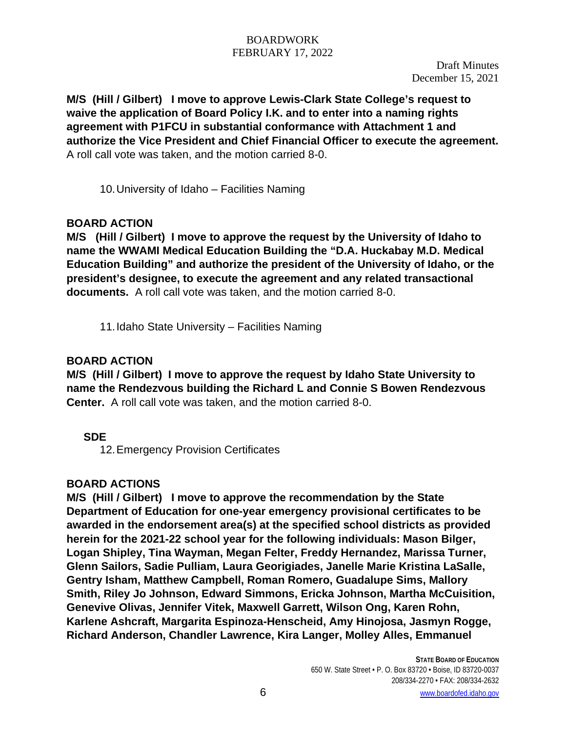**M/S (Hill / Gilbert) I move to approve Lewis-Clark State College's request to waive the application of Board Policy I.K. and to enter into a naming rights agreement with P1FCU in substantial conformance with Attachment 1 and authorize the Vice President and Chief Financial Officer to execute the agreement.**  A roll call vote was taken, and the motion carried 8-0.

10.University of Idaho – Facilities Naming

# **BOARD ACTION**

**M/S (Hill / Gilbert) I move to approve the request by the University of Idaho to name the WWAMI Medical Education Building the "D.A. Huckabay M.D. Medical Education Building" and authorize the president of the University of Idaho, or the president's designee, to execute the agreement and any related transactional documents.** A roll call vote was taken, and the motion carried 8-0.

11.Idaho State University – Facilities Naming

# **BOARD ACTION**

**M/S (Hill / Gilbert) I move to approve the request by Idaho State University to name the Rendezvous building the Richard L and Connie S Bowen Rendezvous Center.** A roll call vote was taken, and the motion carried 8-0.

# **SDE**

12.Emergency Provision Certificates

# **BOARD ACTIONS**

**M/S (Hill / Gilbert) I move to approve the recommendation by the State Department of Education for one-year emergency provisional certificates to be awarded in the endorsement area(s) at the specified school districts as provided herein for the 2021-22 school year for the following individuals: Mason Bilger, Logan Shipley, Tina Wayman, Megan Felter, Freddy Hernandez, Marissa Turner, Glenn Sailors, Sadie Pulliam, Laura Georigiades, Janelle Marie Kristina LaSalle, Gentry Isham, Matthew Campbell, Roman Romero, Guadalupe Sims, Mallory Smith, Riley Jo Johnson, Edward Simmons, Ericka Johnson, Martha McCuisition, Genevive Olivas, Jennifer Vitek, Maxwell Garrett, Wilson Ong, Karen Rohn, Karlene Ashcraft, Margarita Espinoza-Henscheid, Amy Hinojosa, Jasmyn Rogge, Richard Anderson, Chandler Lawrence, Kira Langer, Molley Alles, Emmanuel**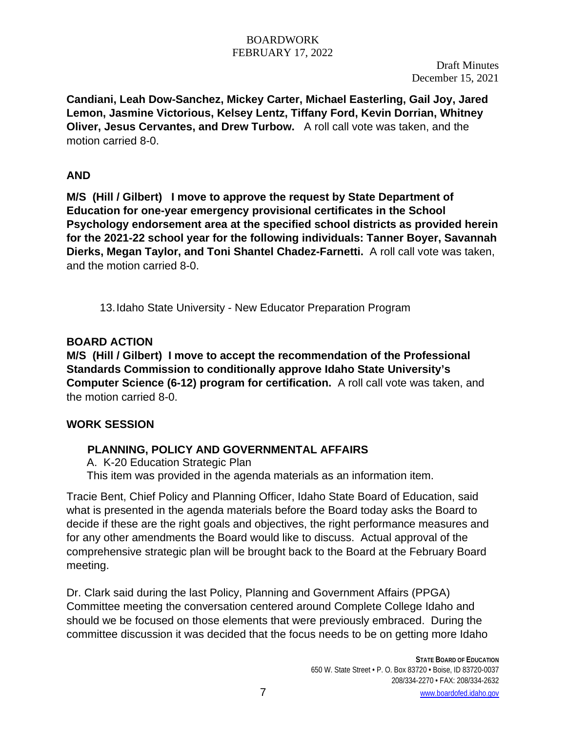Draft Minutes December 15, 2021

**Candiani, Leah Dow-Sanchez, Mickey Carter, Michael Easterling, Gail Joy, Jared Lemon, Jasmine Victorious, Kelsey Lentz, Tiffany Ford, Kevin Dorrian, Whitney Oliver, Jesus Cervantes, and Drew Turbow.** A roll call vote was taken, and the motion carried 8-0.

# **AND**

**M/S (Hill / Gilbert) I move to approve the request by State Department of Education for one-year emergency provisional certificates in the School Psychology endorsement area at the specified school districts as provided herein for the 2021-22 school year for the following individuals: Tanner Boyer, Savannah Dierks, Megan Taylor, and Toni Shantel Chadez-Farnetti.** A roll call vote was taken, and the motion carried 8-0.

13.Idaho State University - New Educator Preparation Program

# **BOARD ACTION**

**M/S (Hill / Gilbert) I move to accept the recommendation of the Professional Standards Commission to conditionally approve Idaho State University's Computer Science (6-12) program for certification.** A roll call vote was taken, and the motion carried 8-0.

# **WORK SESSION**

# **PLANNING, POLICY AND GOVERNMENTAL AFFAIRS**

A. K-20 Education Strategic Plan

This item was provided in the agenda materials as an information item.

Tracie Bent, Chief Policy and Planning Officer, Idaho State Board of Education, said what is presented in the agenda materials before the Board today asks the Board to decide if these are the right goals and objectives, the right performance measures and for any other amendments the Board would like to discuss. Actual approval of the comprehensive strategic plan will be brought back to the Board at the February Board meeting.

Dr. Clark said during the last Policy, Planning and Government Affairs (PPGA) Committee meeting the conversation centered around Complete College Idaho and should we be focused on those elements that were previously embraced. During the committee discussion it was decided that the focus needs to be on getting more Idaho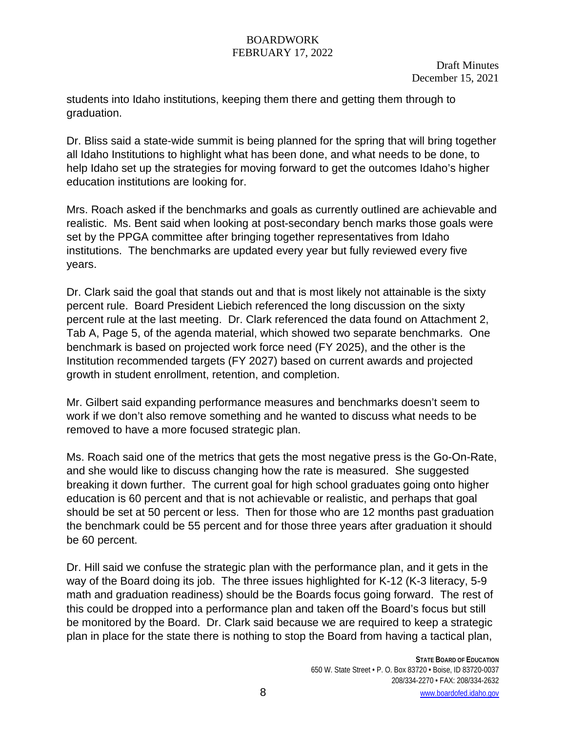Draft Minutes December 15, 2021

students into Idaho institutions, keeping them there and getting them through to graduation.

Dr. Bliss said a state-wide summit is being planned for the spring that will bring together all Idaho Institutions to highlight what has been done, and what needs to be done, to help Idaho set up the strategies for moving forward to get the outcomes Idaho's higher education institutions are looking for.

Mrs. Roach asked if the benchmarks and goals as currently outlined are achievable and realistic. Ms. Bent said when looking at post-secondary bench marks those goals were set by the PPGA committee after bringing together representatives from Idaho institutions. The benchmarks are updated every year but fully reviewed every five years.

Dr. Clark said the goal that stands out and that is most likely not attainable is the sixty percent rule. Board President Liebich referenced the long discussion on the sixty percent rule at the last meeting. Dr. Clark referenced the data found on Attachment 2, Tab A, Page 5, of the agenda material, which showed two separate benchmarks. One benchmark is based on projected work force need (FY 2025), and the other is the Institution recommended targets (FY 2027) based on current awards and projected growth in student enrollment, retention, and completion.

Mr. Gilbert said expanding performance measures and benchmarks doesn't seem to work if we don't also remove something and he wanted to discuss what needs to be removed to have a more focused strategic plan.

Ms. Roach said one of the metrics that gets the most negative press is the Go-On-Rate, and she would like to discuss changing how the rate is measured. She suggested breaking it down further. The current goal for high school graduates going onto higher education is 60 percent and that is not achievable or realistic, and perhaps that goal should be set at 50 percent or less. Then for those who are 12 months past graduation the benchmark could be 55 percent and for those three years after graduation it should be 60 percent.

Dr. Hill said we confuse the strategic plan with the performance plan, and it gets in the way of the Board doing its job. The three issues highlighted for K-12 (K-3 literacy, 5-9 math and graduation readiness) should be the Boards focus going forward. The rest of this could be dropped into a performance plan and taken off the Board's focus but still be monitored by the Board. Dr. Clark said because we are required to keep a strategic plan in place for the state there is nothing to stop the Board from having a tactical plan,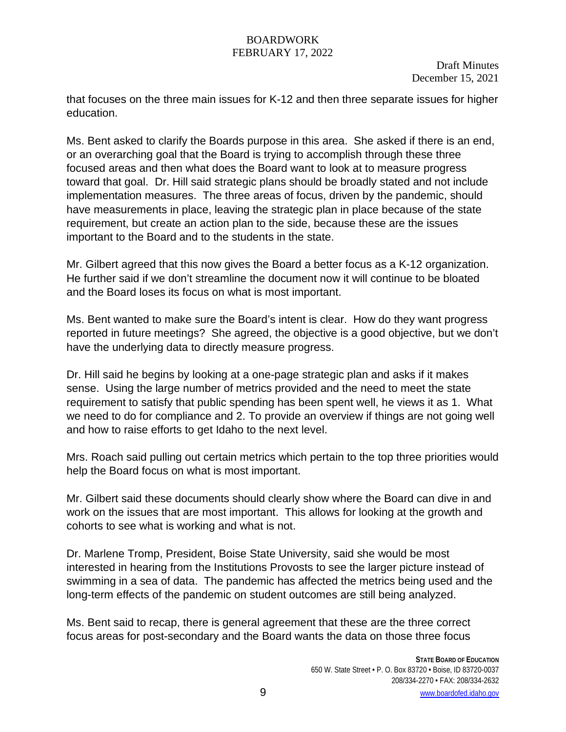Draft Minutes December 15, 2021

that focuses on the three main issues for K-12 and then three separate issues for higher education.

Ms. Bent asked to clarify the Boards purpose in this area. She asked if there is an end, or an overarching goal that the Board is trying to accomplish through these three focused areas and then what does the Board want to look at to measure progress toward that goal. Dr. Hill said strategic plans should be broadly stated and not include implementation measures. The three areas of focus, driven by the pandemic, should have measurements in place, leaving the strategic plan in place because of the state requirement, but create an action plan to the side, because these are the issues important to the Board and to the students in the state.

Mr. Gilbert agreed that this now gives the Board a better focus as a K-12 organization. He further said if we don't streamline the document now it will continue to be bloated and the Board loses its focus on what is most important.

Ms. Bent wanted to make sure the Board's intent is clear. How do they want progress reported in future meetings? She agreed, the objective is a good objective, but we don't have the underlying data to directly measure progress.

Dr. Hill said he begins by looking at a one-page strategic plan and asks if it makes sense. Using the large number of metrics provided and the need to meet the state requirement to satisfy that public spending has been spent well, he views it as 1. What we need to do for compliance and 2. To provide an overview if things are not going well and how to raise efforts to get Idaho to the next level.

Mrs. Roach said pulling out certain metrics which pertain to the top three priorities would help the Board focus on what is most important.

Mr. Gilbert said these documents should clearly show where the Board can dive in and work on the issues that are most important. This allows for looking at the growth and cohorts to see what is working and what is not.

Dr. Marlene Tromp, President, Boise State University, said she would be most interested in hearing from the Institutions Provosts to see the larger picture instead of swimming in a sea of data. The pandemic has affected the metrics being used and the long-term effects of the pandemic on student outcomes are still being analyzed.

Ms. Bent said to recap, there is general agreement that these are the three correct focus areas for post-secondary and the Board wants the data on those three focus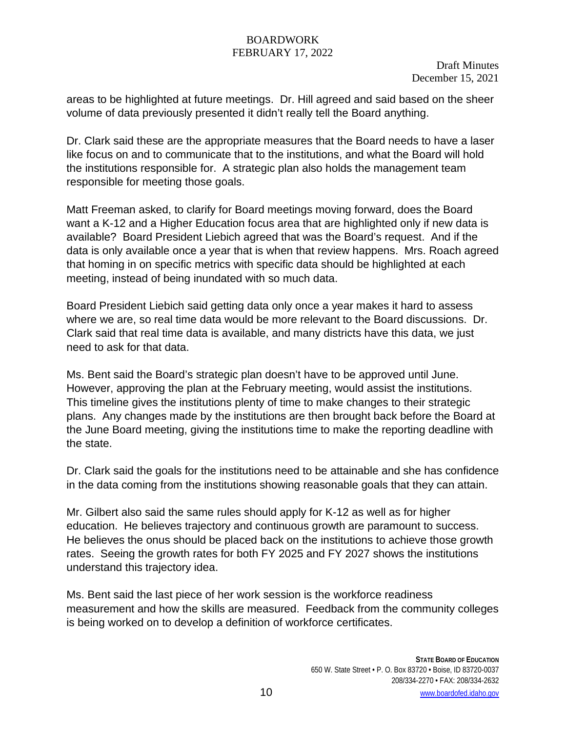Draft Minutes December 15, 2021

areas to be highlighted at future meetings. Dr. Hill agreed and said based on the sheer volume of data previously presented it didn't really tell the Board anything.

Dr. Clark said these are the appropriate measures that the Board needs to have a laser like focus on and to communicate that to the institutions, and what the Board will hold the institutions responsible for. A strategic plan also holds the management team responsible for meeting those goals.

Matt Freeman asked, to clarify for Board meetings moving forward, does the Board want a K-12 and a Higher Education focus area that are highlighted only if new data is available? Board President Liebich agreed that was the Board's request. And if the data is only available once a year that is when that review happens. Mrs. Roach agreed that homing in on specific metrics with specific data should be highlighted at each meeting, instead of being inundated with so much data.

Board President Liebich said getting data only once a year makes it hard to assess where we are, so real time data would be more relevant to the Board discussions. Dr. Clark said that real time data is available, and many districts have this data, we just need to ask for that data.

Ms. Bent said the Board's strategic plan doesn't have to be approved until June. However, approving the plan at the February meeting, would assist the institutions. This timeline gives the institutions plenty of time to make changes to their strategic plans. Any changes made by the institutions are then brought back before the Board at the June Board meeting, giving the institutions time to make the reporting deadline with the state.

Dr. Clark said the goals for the institutions need to be attainable and she has confidence in the data coming from the institutions showing reasonable goals that they can attain.

Mr. Gilbert also said the same rules should apply for K-12 as well as for higher education. He believes trajectory and continuous growth are paramount to success. He believes the onus should be placed back on the institutions to achieve those growth rates. Seeing the growth rates for both FY 2025 and FY 2027 shows the institutions understand this trajectory idea.

Ms. Bent said the last piece of her work session is the workforce readiness measurement and how the skills are measured. Feedback from the community colleges is being worked on to develop a definition of workforce certificates.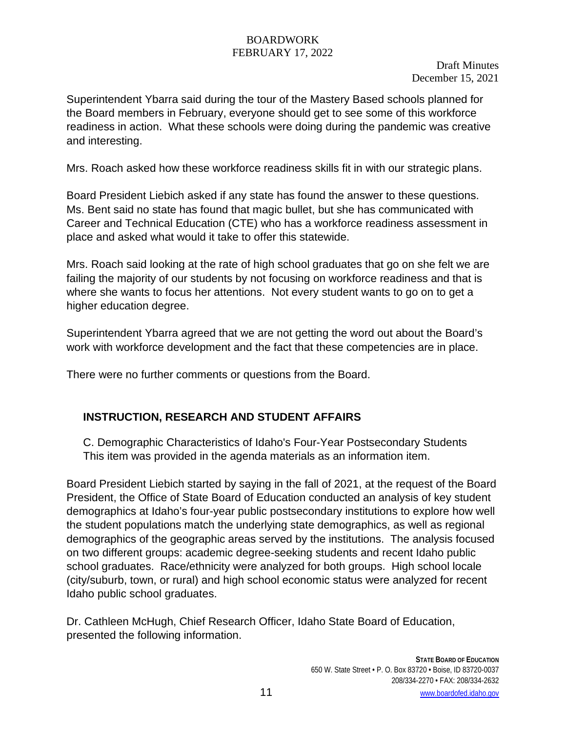Draft Minutes December 15, 2021

Superintendent Ybarra said during the tour of the Mastery Based schools planned for the Board members in February, everyone should get to see some of this workforce readiness in action. What these schools were doing during the pandemic was creative and interesting.

Mrs. Roach asked how these workforce readiness skills fit in with our strategic plans.

Board President Liebich asked if any state has found the answer to these questions. Ms. Bent said no state has found that magic bullet, but she has communicated with Career and Technical Education (CTE) who has a workforce readiness assessment in place and asked what would it take to offer this statewide.

Mrs. Roach said looking at the rate of high school graduates that go on she felt we are failing the majority of our students by not focusing on workforce readiness and that is where she wants to focus her attentions. Not every student wants to go on to get a higher education degree.

Superintendent Ybarra agreed that we are not getting the word out about the Board's work with workforce development and the fact that these competencies are in place.

There were no further comments or questions from the Board.

# **INSTRUCTION, RESEARCH AND STUDENT AFFAIRS**

C. Demographic Characteristics of Idaho's Four-Year Postsecondary Students This item was provided in the agenda materials as an information item.

Board President Liebich started by saying in the fall of 2021, at the request of the Board President, the Office of State Board of Education conducted an analysis of key student demographics at Idaho's four-year public postsecondary institutions to explore how well the student populations match the underlying state demographics, as well as regional demographics of the geographic areas served by the institutions. The analysis focused on two different groups: academic degree-seeking students and recent Idaho public school graduates. Race/ethnicity were analyzed for both groups. High school locale (city/suburb, town, or rural) and high school economic status were analyzed for recent Idaho public school graduates.

Dr. Cathleen McHugh, Chief Research Officer, Idaho State Board of Education, presented the following information.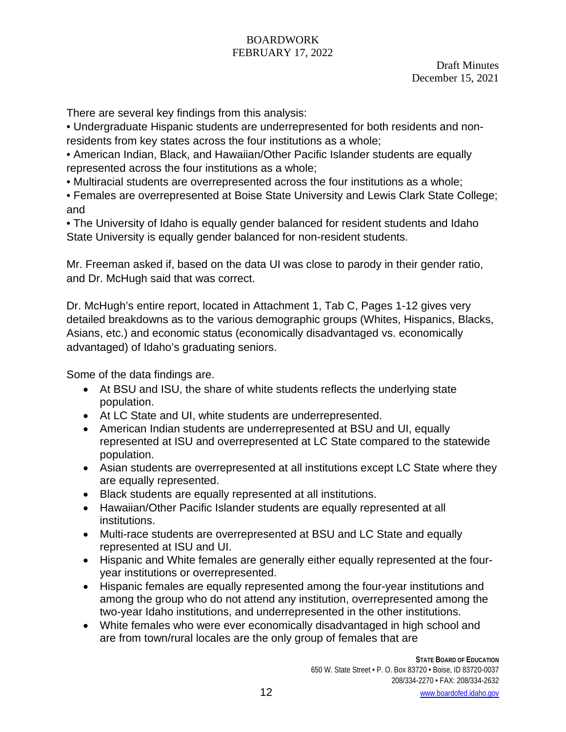Draft Minutes December 15, 2021

There are several key findings from this analysis:

• Undergraduate Hispanic students are underrepresented for both residents and nonresidents from key states across the four institutions as a whole;

• American Indian, Black, and Hawaiian/Other Pacific Islander students are equally represented across the four institutions as a whole;

• Multiracial students are overrepresented across the four institutions as a whole;

• Females are overrepresented at Boise State University and Lewis Clark State College; and

• The University of Idaho is equally gender balanced for resident students and Idaho State University is equally gender balanced for non-resident students.

Mr. Freeman asked if, based on the data UI was close to parody in their gender ratio, and Dr. McHugh said that was correct.

Dr. McHugh's entire report, located in Attachment 1, Tab C, Pages 1-12 gives very detailed breakdowns as to the various demographic groups (Whites, Hispanics, Blacks, Asians, etc.) and economic status (economically disadvantaged vs. economically advantaged) of Idaho's graduating seniors.

Some of the data findings are.

- At BSU and ISU, the share of white students reflects the underlying state population.
- At LC State and UI, white students are underrepresented.
- American Indian students are underrepresented at BSU and UI, equally represented at ISU and overrepresented at LC State compared to the statewide population.
- Asian students are overrepresented at all institutions except LC State where they are equally represented.
- Black students are equally represented at all institutions.
- Hawaiian/Other Pacific Islander students are equally represented at all institutions.
- Multi-race students are overrepresented at BSU and LC State and equally represented at ISU and UI.
- Hispanic and White females are generally either equally represented at the fouryear institutions or overrepresented.
- Hispanic females are equally represented among the four-year institutions and among the group who do not attend any institution, overrepresented among the two-year Idaho institutions, and underrepresented in the other institutions.
- White females who were ever economically disadvantaged in high school and are from town/rural locales are the only group of females that are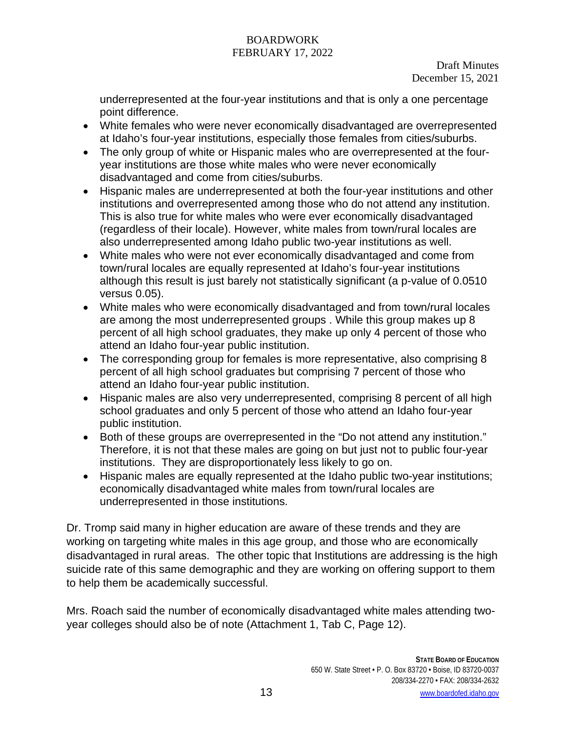underrepresented at the four-year institutions and that is only a one percentage point difference.

- White females who were never economically disadvantaged are overrepresented at Idaho's four-year institutions, especially those females from cities/suburbs.
- The only group of white or Hispanic males who are overrepresented at the fouryear institutions are those white males who were never economically disadvantaged and come from cities/suburbs.
- Hispanic males are underrepresented at both the four-year institutions and other institutions and overrepresented among those who do not attend any institution. This is also true for white males who were ever economically disadvantaged (regardless of their locale). However, white males from town/rural locales are also underrepresented among Idaho public two-year institutions as well.
- White males who were not ever economically disadvantaged and come from town/rural locales are equally represented at Idaho's four-year institutions although this result is just barely not statistically significant (a p-value of 0.0510 versus 0.05).
- White males who were economically disadvantaged and from town/rural locales are among the most underrepresented groups . While this group makes up 8 percent of all high school graduates, they make up only 4 percent of those who attend an Idaho four-year public institution.
- The corresponding group for females is more representative, also comprising 8 percent of all high school graduates but comprising 7 percent of those who attend an Idaho four-year public institution.
- Hispanic males are also very underrepresented, comprising 8 percent of all high school graduates and only 5 percent of those who attend an Idaho four-year public institution.
- Both of these groups are overrepresented in the "Do not attend any institution." Therefore, it is not that these males are going on but just not to public four-year institutions. They are disproportionately less likely to go on.
- Hispanic males are equally represented at the Idaho public two-year institutions; economically disadvantaged white males from town/rural locales are underrepresented in those institutions.

Dr. Tromp said many in higher education are aware of these trends and they are working on targeting white males in this age group, and those who are economically disadvantaged in rural areas. The other topic that Institutions are addressing is the high suicide rate of this same demographic and they are working on offering support to them to help them be academically successful.

Mrs. Roach said the number of economically disadvantaged white males attending twoyear colleges should also be of note (Attachment 1, Tab C, Page 12).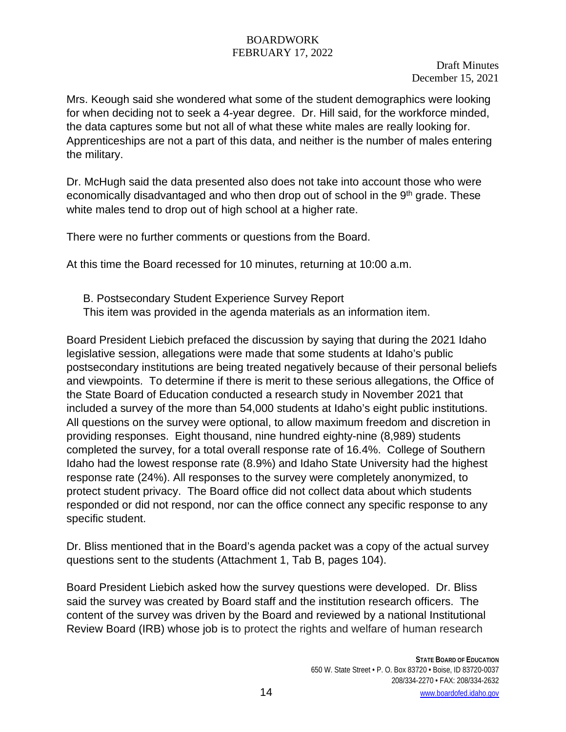Mrs. Keough said she wondered what some of the student demographics were looking for when deciding not to seek a 4-year degree. Dr. Hill said, for the workforce minded, the data captures some but not all of what these white males are really looking for. Apprenticeships are not a part of this data, and neither is the number of males entering the military.

Dr. McHugh said the data presented also does not take into account those who were economically disadvantaged and who then drop out of school in the 9<sup>th</sup> grade. These white males tend to drop out of high school at a higher rate.

There were no further comments or questions from the Board.

At this time the Board recessed for 10 minutes, returning at 10:00 a.m.

B. Postsecondary Student Experience Survey Report This item was provided in the agenda materials as an information item.

Board President Liebich prefaced the discussion by saying that during the 2021 Idaho legislative session, allegations were made that some students at Idaho's public postsecondary institutions are being treated negatively because of their personal beliefs and viewpoints. To determine if there is merit to these serious allegations, the Office of the State Board of Education conducted a research study in November 2021 that included a survey of the more than 54,000 students at Idaho's eight public institutions. All questions on the survey were optional, to allow maximum freedom and discretion in providing responses. Eight thousand, nine hundred eighty-nine (8,989) students completed the survey, for a total overall response rate of 16.4%. College of Southern Idaho had the lowest response rate (8.9%) and Idaho State University had the highest response rate (24%). All responses to the survey were completely anonymized, to protect student privacy. The Board office did not collect data about which students responded or did not respond, nor can the office connect any specific response to any specific student.

Dr. Bliss mentioned that in the Board's agenda packet was a copy of the actual survey questions sent to the students (Attachment 1, Tab B, pages 104).

Board President Liebich asked how the survey questions were developed. Dr. Bliss said the survey was created by Board staff and the institution research officers. The content of the survey was driven by the Board and reviewed by a national Institutional Review Board (IRB) whose job is to protect the rights and welfare of human research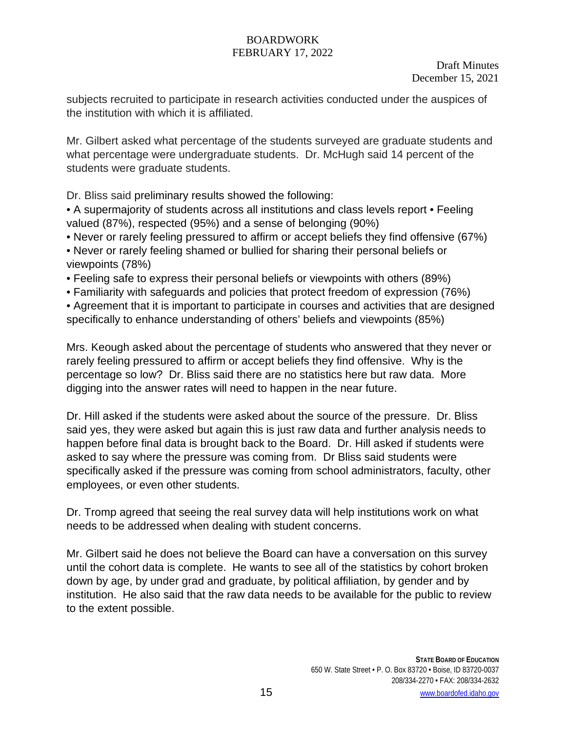subjects recruited to participate in research activities conducted under the auspices of the institution with which it is affiliated.

Mr. Gilbert asked what percentage of the students surveyed are graduate students and what percentage were undergraduate students. Dr. McHugh said 14 percent of the students were graduate students.

Dr. Bliss said preliminary results showed the following:

• A supermajority of students across all institutions and class levels report • Feeling valued (87%), respected (95%) and a sense of belonging (90%)

• Never or rarely feeling pressured to affirm or accept beliefs they find offensive (67%)

• Never or rarely feeling shamed or bullied for sharing their personal beliefs or viewpoints (78%)

• Feeling safe to express their personal beliefs or viewpoints with others (89%)

• Familiarity with safeguards and policies that protect freedom of expression (76%)

• Agreement that it is important to participate in courses and activities that are designed specifically to enhance understanding of others' beliefs and viewpoints (85%)

Mrs. Keough asked about the percentage of students who answered that they never or rarely feeling pressured to affirm or accept beliefs they find offensive. Why is the percentage so low? Dr. Bliss said there are no statistics here but raw data. More digging into the answer rates will need to happen in the near future.

Dr. Hill asked if the students were asked about the source of the pressure. Dr. Bliss said yes, they were asked but again this is just raw data and further analysis needs to happen before final data is brought back to the Board. Dr. Hill asked if students were asked to say where the pressure was coming from. Dr Bliss said students were specifically asked if the pressure was coming from school administrators, faculty, other employees, or even other students.

Dr. Tromp agreed that seeing the real survey data will help institutions work on what needs to be addressed when dealing with student concerns.

Mr. Gilbert said he does not believe the Board can have a conversation on this survey until the cohort data is complete. He wants to see all of the statistics by cohort broken down by age, by under grad and graduate, by political affiliation, by gender and by institution. He also said that the raw data needs to be available for the public to review to the extent possible.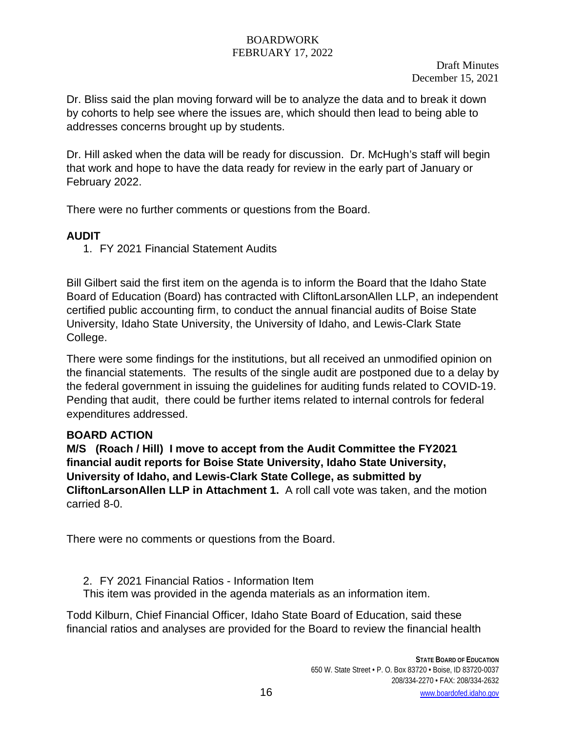Draft Minutes December 15, 2021

Dr. Bliss said the plan moving forward will be to analyze the data and to break it down by cohorts to help see where the issues are, which should then lead to being able to addresses concerns brought up by students.

Dr. Hill asked when the data will be ready for discussion. Dr. McHugh's staff will begin that work and hope to have the data ready for review in the early part of January or February 2022.

There were no further comments or questions from the Board.

# **AUDIT**

1. FY 2021 Financial Statement Audits

Bill Gilbert said the first item on the agenda is to inform the Board that the Idaho State Board of Education (Board) has contracted with CliftonLarsonAllen LLP, an independent certified public accounting firm, to conduct the annual financial audits of Boise State University, Idaho State University, the University of Idaho, and Lewis-Clark State College.

There were some findings for the institutions, but all received an unmodified opinion on the financial statements. The results of the single audit are postponed due to a delay by the federal government in issuing the guidelines for auditing funds related to COVID-19. Pending that audit, there could be further items related to internal controls for federal expenditures addressed.

# **BOARD ACTION**

**M/S (Roach / Hill) I move to accept from the Audit Committee the FY2021 financial audit reports for Boise State University, Idaho State University, University of Idaho, and Lewis-Clark State College, as submitted by CliftonLarsonAllen LLP in Attachment 1.** A roll call vote was taken, and the motion carried 8-0.

There were no comments or questions from the Board.

2. FY 2021 Financial Ratios - Information Item This item was provided in the agenda materials as an information item.

Todd Kilburn, Chief Financial Officer, Idaho State Board of Education, said these financial ratios and analyses are provided for the Board to review the financial health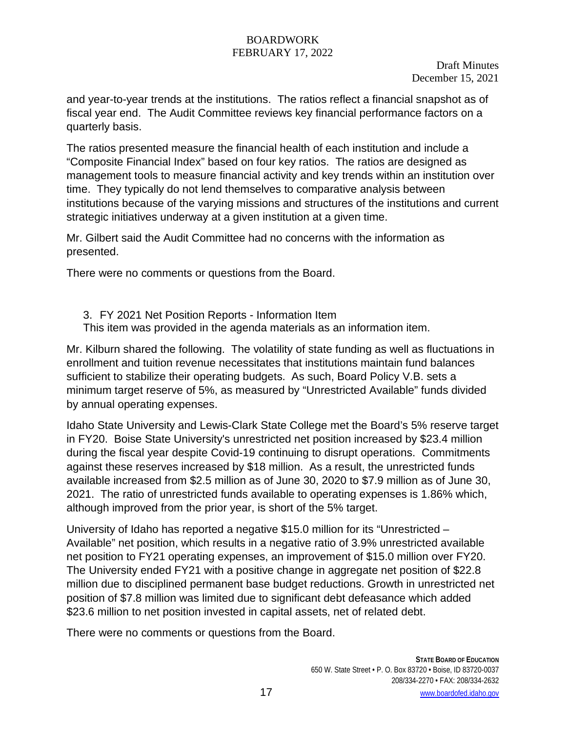Draft Minutes December 15, 2021

and year-to-year trends at the institutions. The ratios reflect a financial snapshot as of fiscal year end. The Audit Committee reviews key financial performance factors on a quarterly basis.

The ratios presented measure the financial health of each institution and include a "Composite Financial Index" based on four key ratios. The ratios are designed as management tools to measure financial activity and key trends within an institution over time. They typically do not lend themselves to comparative analysis between institutions because of the varying missions and structures of the institutions and current strategic initiatives underway at a given institution at a given time.

Mr. Gilbert said the Audit Committee had no concerns with the information as presented.

There were no comments or questions from the Board.

3. FY 2021 Net Position Reports - Information Item

This item was provided in the agenda materials as an information item.

Mr. Kilburn shared the following. The volatility of state funding as well as fluctuations in enrollment and tuition revenue necessitates that institutions maintain fund balances sufficient to stabilize their operating budgets. As such, Board Policy V.B. sets a minimum target reserve of 5%, as measured by "Unrestricted Available" funds divided by annual operating expenses.

Idaho State University and Lewis-Clark State College met the Board's 5% reserve target in FY20. Boise State University's unrestricted net position increased by \$23.4 million during the fiscal year despite Covid-19 continuing to disrupt operations. Commitments against these reserves increased by \$18 million. As a result, the unrestricted funds available increased from \$2.5 million as of June 30, 2020 to \$7.9 million as of June 30, 2021. The ratio of unrestricted funds available to operating expenses is 1.86% which, although improved from the prior year, is short of the 5% target.

University of Idaho has reported a negative \$15.0 million for its "Unrestricted – Available" net position, which results in a negative ratio of 3.9% unrestricted available net position to FY21 operating expenses, an improvement of \$15.0 million over FY20. The University ended FY21 with a positive change in aggregate net position of \$22.8 million due to disciplined permanent base budget reductions. Growth in unrestricted net position of \$7.8 million was limited due to significant debt defeasance which added \$23.6 million to net position invested in capital assets, net of related debt.

There were no comments or questions from the Board.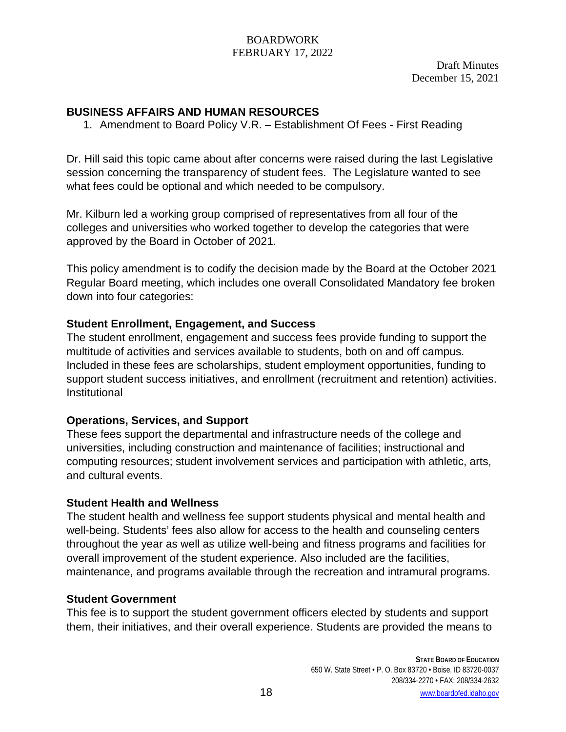Draft Minutes December 15, 2021

## **BUSINESS AFFAIRS AND HUMAN RESOURCES**

1. Amendment to Board Policy V.R. – Establishment Of Fees - First Reading

Dr. Hill said this topic came about after concerns were raised during the last Legislative session concerning the transparency of student fees. The Legislature wanted to see what fees could be optional and which needed to be compulsory.

Mr. Kilburn led a working group comprised of representatives from all four of the colleges and universities who worked together to develop the categories that were approved by the Board in October of 2021.

This policy amendment is to codify the decision made by the Board at the October 2021 Regular Board meeting, which includes one overall Consolidated Mandatory fee broken down into four categories:

## **Student Enrollment, Engagement, and Success**

The student enrollment, engagement and success fees provide funding to support the multitude of activities and services available to students, both on and off campus. Included in these fees are scholarships, student employment opportunities, funding to support student success initiatives, and enrollment (recruitment and retention) activities. Institutional

# **Operations, Services, and Support**

These fees support the departmental and infrastructure needs of the college and universities, including construction and maintenance of facilities; instructional and computing resources; student involvement services and participation with athletic, arts, and cultural events.

### **Student Health and Wellness**

The student health and wellness fee support students physical and mental health and well-being. Students' fees also allow for access to the health and counseling centers throughout the year as well as utilize well-being and fitness programs and facilities for overall improvement of the student experience. Also included are the facilities, maintenance, and programs available through the recreation and intramural programs.

### **Student Government**

This fee is to support the student government officers elected by students and support them, their initiatives, and their overall experience. Students are provided the means to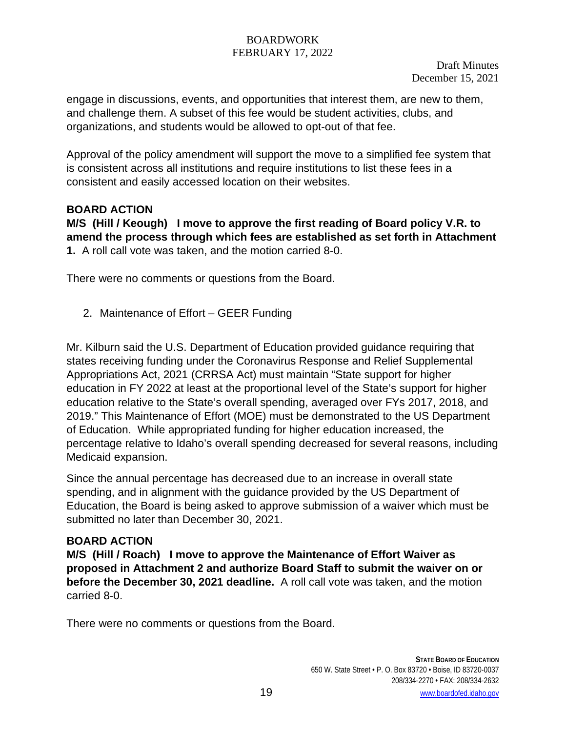Draft Minutes December 15, 2021

engage in discussions, events, and opportunities that interest them, are new to them, and challenge them. A subset of this fee would be student activities, clubs, and organizations, and students would be allowed to opt-out of that fee.

Approval of the policy amendment will support the move to a simplified fee system that is consistent across all institutions and require institutions to list these fees in a consistent and easily accessed location on their websites.

# **BOARD ACTION**

**M/S (Hill / Keough) I move to approve the first reading of Board policy V.R. to amend the process through which fees are established as set forth in Attachment 1.** A roll call vote was taken, and the motion carried 8-0.

There were no comments or questions from the Board.

2. Maintenance of Effort – GEER Funding

Mr. Kilburn said the U.S. Department of Education provided guidance requiring that states receiving funding under the Coronavirus Response and Relief Supplemental Appropriations Act, 2021 (CRRSA Act) must maintain "State support for higher education in FY 2022 at least at the proportional level of the State's support for higher education relative to the State's overall spending, averaged over FYs 2017, 2018, and 2019." This Maintenance of Effort (MOE) must be demonstrated to the US Department of Education. While appropriated funding for higher education increased, the percentage relative to Idaho's overall spending decreased for several reasons, including Medicaid expansion.

Since the annual percentage has decreased due to an increase in overall state spending, and in alignment with the guidance provided by the US Department of Education, the Board is being asked to approve submission of a waiver which must be submitted no later than December 30, 2021.

### **BOARD ACTION**

**M/S (Hill / Roach) I move to approve the Maintenance of Effort Waiver as proposed in Attachment 2 and authorize Board Staff to submit the waiver on or before the December 30, 2021 deadline.** A roll call vote was taken, and the motion carried 8-0.

There were no comments or questions from the Board.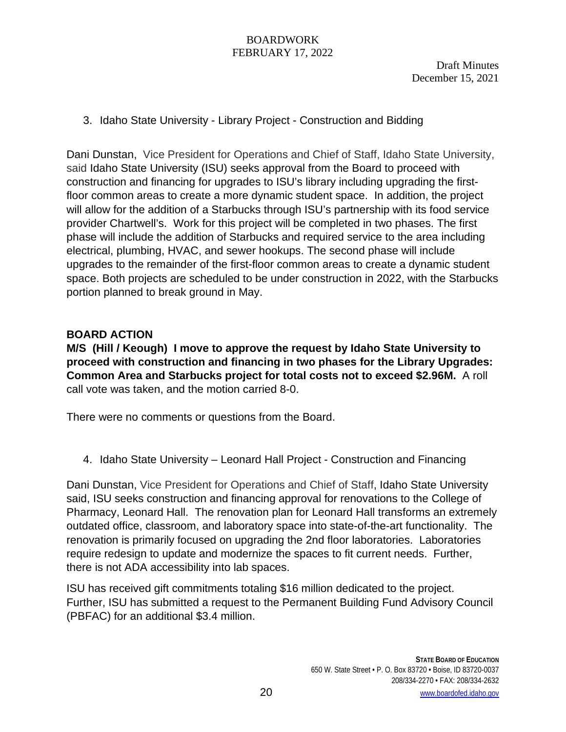Draft Minutes December 15, 2021

## 3. Idaho State University - Library Project - Construction and Bidding

Dani Dunstan, Vice President for Operations and Chief of Staff, Idaho State University, said Idaho State University (ISU) seeks approval from the Board to proceed with construction and financing for upgrades to ISU's library including upgrading the firstfloor common areas to create a more dynamic student space. In addition, the project will allow for the addition of a Starbucks through ISU's partnership with its food service provider Chartwell's. Work for this project will be completed in two phases. The first phase will include the addition of Starbucks and required service to the area including electrical, plumbing, HVAC, and sewer hookups. The second phase will include upgrades to the remainder of the first-floor common areas to create a dynamic student space. Both projects are scheduled to be under construction in 2022, with the Starbucks portion planned to break ground in May.

### **BOARD ACTION**

**M/S (Hill / Keough) I move to approve the request by Idaho State University to proceed with construction and financing in two phases for the Library Upgrades: Common Area and Starbucks project for total costs not to exceed \$2.96M.** A roll call vote was taken, and the motion carried 8-0.

There were no comments or questions from the Board.

4. Idaho State University – Leonard Hall Project - Construction and Financing

Dani Dunstan, Vice President for Operations and Chief of Staff, Idaho State University said, ISU seeks construction and financing approval for renovations to the College of Pharmacy, Leonard Hall. The renovation plan for Leonard Hall transforms an extremely outdated office, classroom, and laboratory space into state-of-the-art functionality. The renovation is primarily focused on upgrading the 2nd floor laboratories. Laboratories require redesign to update and modernize the spaces to fit current needs. Further, there is not ADA accessibility into lab spaces.

ISU has received gift commitments totaling \$16 million dedicated to the project. Further, ISU has submitted a request to the Permanent Building Fund Advisory Council (PBFAC) for an additional \$3.4 million.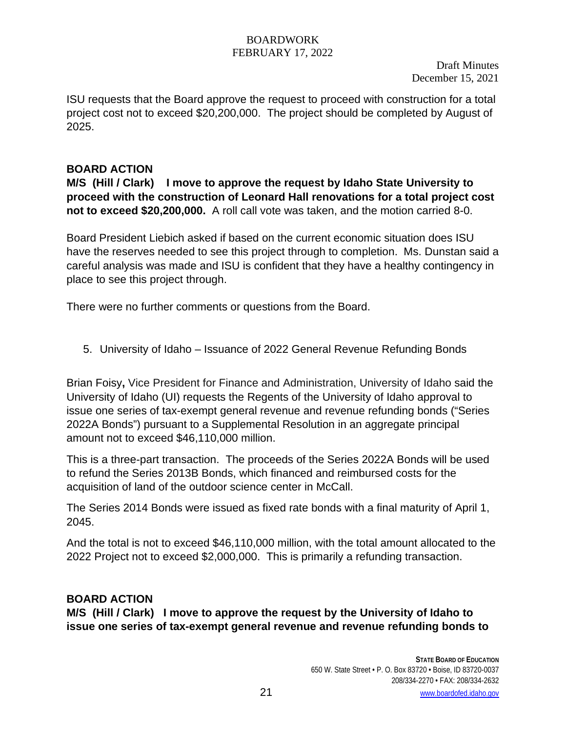ISU requests that the Board approve the request to proceed with construction for a total project cost not to exceed \$20,200,000. The project should be completed by August of 2025.

# **BOARD ACTION**

**M/S (Hill / Clark) I move to approve the request by Idaho State University to proceed with the construction of Leonard Hall renovations for a total project cost not to exceed \$20,200,000.** A roll call vote was taken, and the motion carried 8-0.

Board President Liebich asked if based on the current economic situation does ISU have the reserves needed to see this project through to completion. Ms. Dunstan said a careful analysis was made and ISU is confident that they have a healthy contingency in place to see this project through.

There were no further comments or questions from the Board.

5. University of Idaho – Issuance of 2022 General Revenue Refunding Bonds

Brian Foisy**,** Vice President for Finance and Administration, University of Idaho said the University of Idaho (UI) requests the Regents of the University of Idaho approval to issue one series of tax-exempt general revenue and revenue refunding bonds ("Series 2022A Bonds") pursuant to a Supplemental Resolution in an aggregate principal amount not to exceed \$46,110,000 million.

This is a three-part transaction. The proceeds of the Series 2022A Bonds will be used to refund the Series 2013B Bonds, which financed and reimbursed costs for the acquisition of land of the outdoor science center in McCall.

The Series 2014 Bonds were issued as fixed rate bonds with a final maturity of April 1, 2045.

And the total is not to exceed \$46,110,000 million, with the total amount allocated to the 2022 Project not to exceed \$2,000,000. This is primarily a refunding transaction.

# **BOARD ACTION**

**M/S (Hill / Clark) I move to approve the request by the University of Idaho to issue one series of tax-exempt general revenue and revenue refunding bonds to**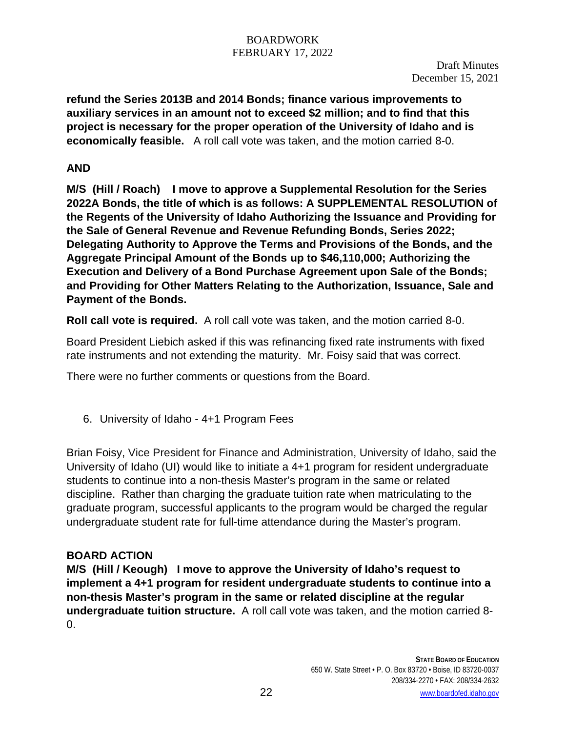Draft Minutes December 15, 2021

**refund the Series 2013B and 2014 Bonds; finance various improvements to auxiliary services in an amount not to exceed \$2 million; and to find that this project is necessary for the proper operation of the University of Idaho and is economically feasible.** A roll call vote was taken, and the motion carried 8-0.

# **AND**

**M/S (Hill / Roach) I move to approve a Supplemental Resolution for the Series 2022A Bonds, the title of which is as follows: A SUPPLEMENTAL RESOLUTION of the Regents of the University of Idaho Authorizing the Issuance and Providing for the Sale of General Revenue and Revenue Refunding Bonds, Series 2022; Delegating Authority to Approve the Terms and Provisions of the Bonds, and the Aggregate Principal Amount of the Bonds up to \$46,110,000; Authorizing the Execution and Delivery of a Bond Purchase Agreement upon Sale of the Bonds; and Providing for Other Matters Relating to the Authorization, Issuance, Sale and Payment of the Bonds.** 

**Roll call vote is required.** A roll call vote was taken, and the motion carried 8-0.

Board President Liebich asked if this was refinancing fixed rate instruments with fixed rate instruments and not extending the maturity. Mr. Foisy said that was correct.

There were no further comments or questions from the Board.

6. University of Idaho - 4+1 Program Fees

Brian Foisy, Vice President for Finance and Administration, University of Idaho, said the University of Idaho (UI) would like to initiate a 4+1 program for resident undergraduate students to continue into a non-thesis Master's program in the same or related discipline. Rather than charging the graduate tuition rate when matriculating to the graduate program, successful applicants to the program would be charged the regular undergraduate student rate for full-time attendance during the Master's program.

### **BOARD ACTION**

**M/S (Hill / Keough) I move to approve the University of Idaho's request to implement a 4+1 program for resident undergraduate students to continue into a non-thesis Master's program in the same or related discipline at the regular undergraduate tuition structure.** A roll call vote was taken, and the motion carried 8- 0.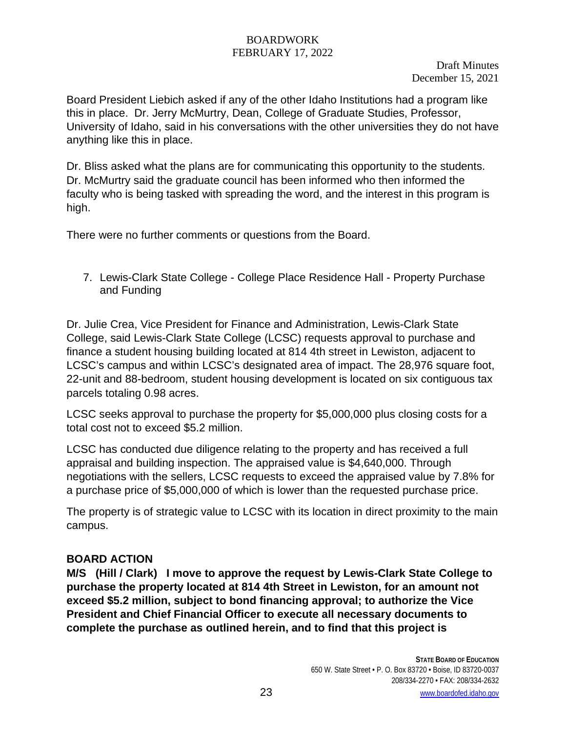Draft Minutes December 15, 2021

Board President Liebich asked if any of the other Idaho Institutions had a program like this in place. Dr. Jerry McMurtry, Dean, College of Graduate Studies, Professor, University of Idaho, said in his conversations with the other universities they do not have anything like this in place.

Dr. Bliss asked what the plans are for communicating this opportunity to the students. Dr. McMurtry said the graduate council has been informed who then informed the faculty who is being tasked with spreading the word, and the interest in this program is high.

There were no further comments or questions from the Board.

7. Lewis-Clark State College - College Place Residence Hall - Property Purchase and Funding

Dr. Julie Crea, Vice President for Finance and Administration, Lewis-Clark State College, said Lewis-Clark State College (LCSC) requests approval to purchase and finance a student housing building located at 814 4th street in Lewiston, adjacent to LCSC's campus and within LCSC's designated area of impact. The 28,976 square foot, 22-unit and 88-bedroom, student housing development is located on six contiguous tax parcels totaling 0.98 acres.

LCSC seeks approval to purchase the property for \$5,000,000 plus closing costs for a total cost not to exceed \$5.2 million.

LCSC has conducted due diligence relating to the property and has received a full appraisal and building inspection. The appraised value is \$4,640,000. Through negotiations with the sellers, LCSC requests to exceed the appraised value by 7.8% for a purchase price of \$5,000,000 of which is lower than the requested purchase price.

The property is of strategic value to LCSC with its location in direct proximity to the main campus.

### **BOARD ACTION**

**M/S (Hill / Clark) I move to approve the request by Lewis-Clark State College to purchase the property located at 814 4th Street in Lewiston, for an amount not exceed \$5.2 million, subject to bond financing approval; to authorize the Vice President and Chief Financial Officer to execute all necessary documents to complete the purchase as outlined herein, and to find that this project is**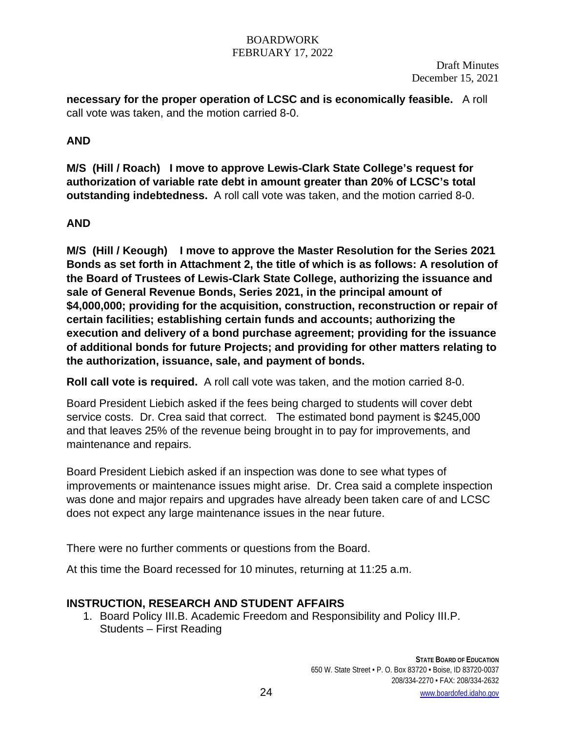Draft Minutes December 15, 2021

**necessary for the proper operation of LCSC and is economically feasible.** A roll call vote was taken, and the motion carried 8-0.

# **AND**

**M/S (Hill / Roach) I move to approve Lewis-Clark State College's request for authorization of variable rate debt in amount greater than 20% of LCSC's total outstanding indebtedness.** A roll call vote was taken, and the motion carried 8-0.

# **AND**

**M/S (Hill / Keough) I move to approve the Master Resolution for the Series 2021 Bonds as set forth in Attachment 2, the title of which is as follows: A resolution of the Board of Trustees of Lewis-Clark State College, authorizing the issuance and sale of General Revenue Bonds, Series 2021, in the principal amount of \$4,000,000; providing for the acquisition, construction, reconstruction or repair of certain facilities; establishing certain funds and accounts; authorizing the execution and delivery of a bond purchase agreement; providing for the issuance of additional bonds for future Projects; and providing for other matters relating to the authorization, issuance, sale, and payment of bonds.** 

**Roll call vote is required.** A roll call vote was taken, and the motion carried 8-0.

Board President Liebich asked if the fees being charged to students will cover debt service costs. Dr. Crea said that correct. The estimated bond payment is \$245,000 and that leaves 25% of the revenue being brought in to pay for improvements, and maintenance and repairs.

Board President Liebich asked if an inspection was done to see what types of improvements or maintenance issues might arise. Dr. Crea said a complete inspection was done and major repairs and upgrades have already been taken care of and LCSC does not expect any large maintenance issues in the near future.

There were no further comments or questions from the Board.

At this time the Board recessed for 10 minutes, returning at 11:25 a.m.

# **INSTRUCTION, RESEARCH AND STUDENT AFFAIRS**

1. Board Policy III.B. Academic Freedom and Responsibility and Policy III.P. Students – First Reading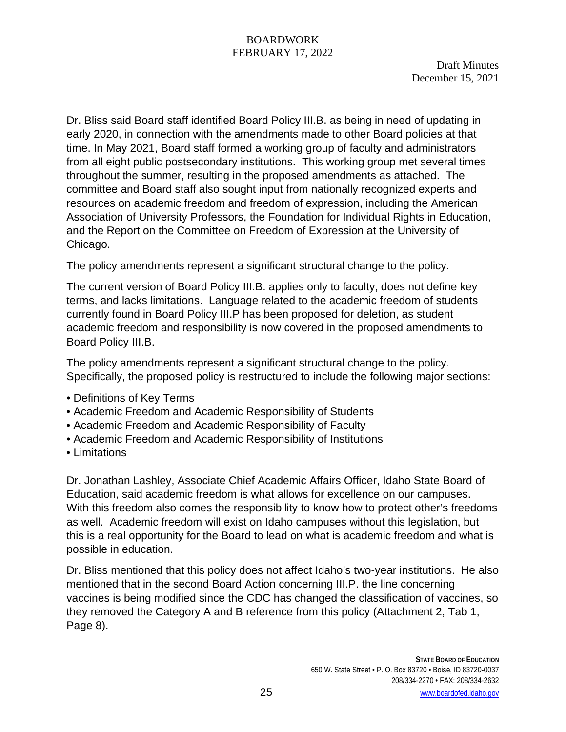Dr. Bliss said Board staff identified Board Policy III.B. as being in need of updating in early 2020, in connection with the amendments made to other Board policies at that time. In May 2021, Board staff formed a working group of faculty and administrators from all eight public postsecondary institutions. This working group met several times throughout the summer, resulting in the proposed amendments as attached. The committee and Board staff also sought input from nationally recognized experts and resources on academic freedom and freedom of expression, including the American Association of University Professors, the Foundation for Individual Rights in Education, and the Report on the Committee on Freedom of Expression at the University of Chicago.

The policy amendments represent a significant structural change to the policy.

The current version of Board Policy III.B. applies only to faculty, does not define key terms, and lacks limitations. Language related to the academic freedom of students currently found in Board Policy III.P has been proposed for deletion, as student academic freedom and responsibility is now covered in the proposed amendments to Board Policy III.B.

The policy amendments represent a significant structural change to the policy. Specifically, the proposed policy is restructured to include the following major sections:

- Definitions of Key Terms
- Academic Freedom and Academic Responsibility of Students
- Academic Freedom and Academic Responsibility of Faculty
- Academic Freedom and Academic Responsibility of Institutions
- Limitations

Dr. Jonathan Lashley, Associate Chief Academic Affairs Officer, Idaho State Board of Education, said academic freedom is what allows for excellence on our campuses. With this freedom also comes the responsibility to know how to protect other's freedoms as well. Academic freedom will exist on Idaho campuses without this legislation, but this is a real opportunity for the Board to lead on what is academic freedom and what is possible in education.

Dr. Bliss mentioned that this policy does not affect Idaho's two-year institutions. He also mentioned that in the second Board Action concerning III.P. the line concerning vaccines is being modified since the CDC has changed the classification of vaccines, so they removed the Category A and B reference from this policy (Attachment 2, Tab 1, Page 8).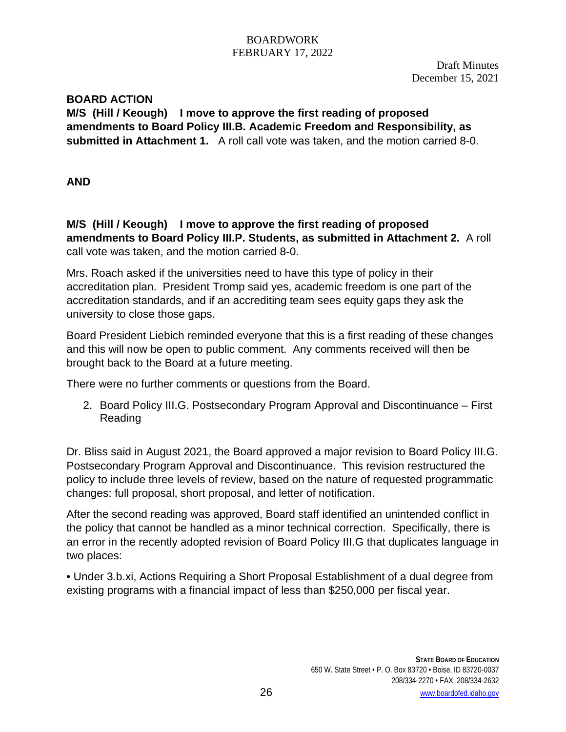Draft Minutes December 15, 2021

## **BOARD ACTION**

**M/S (Hill / Keough) I move to approve the first reading of proposed amendments to Board Policy III.B. Academic Freedom and Responsibility, as submitted in Attachment 1.** A roll call vote was taken, and the motion carried 8-0.

**AND** 

**M/S (Hill / Keough) I move to approve the first reading of proposed amendments to Board Policy III.P. Students, as submitted in Attachment 2.** A roll call vote was taken, and the motion carried 8-0.

Mrs. Roach asked if the universities need to have this type of policy in their accreditation plan. President Tromp said yes, academic freedom is one part of the accreditation standards, and if an accrediting team sees equity gaps they ask the university to close those gaps.

Board President Liebich reminded everyone that this is a first reading of these changes and this will now be open to public comment. Any comments received will then be brought back to the Board at a future meeting.

There were no further comments or questions from the Board.

2. Board Policy III.G. Postsecondary Program Approval and Discontinuance – First Reading

Dr. Bliss said in August 2021, the Board approved a major revision to Board Policy III.G. Postsecondary Program Approval and Discontinuance. This revision restructured the policy to include three levels of review, based on the nature of requested programmatic changes: full proposal, short proposal, and letter of notification.

After the second reading was approved, Board staff identified an unintended conflict in the policy that cannot be handled as a minor technical correction. Specifically, there is an error in the recently adopted revision of Board Policy III.G that duplicates language in two places:

• Under 3.b.xi, Actions Requiring a Short Proposal Establishment of a dual degree from existing programs with a financial impact of less than \$250,000 per fiscal year.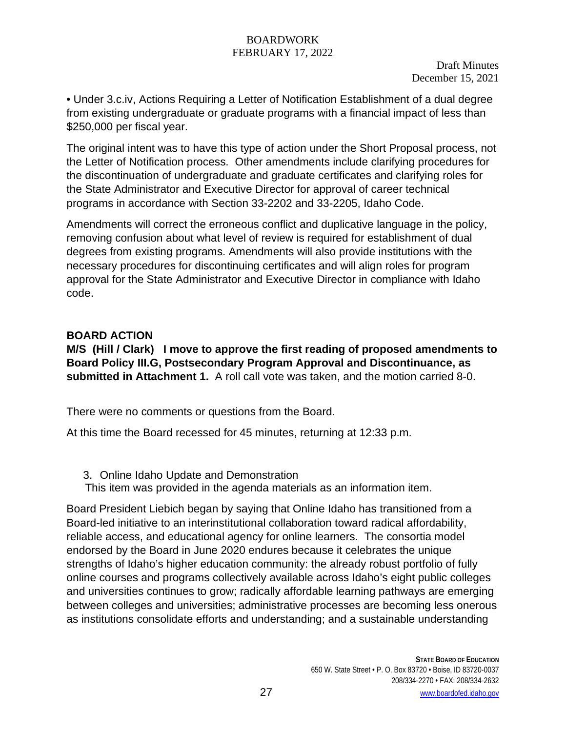Draft Minutes December 15, 2021

• Under 3.c.iv, Actions Requiring a Letter of Notification Establishment of a dual degree from existing undergraduate or graduate programs with a financial impact of less than \$250,000 per fiscal year.

The original intent was to have this type of action under the Short Proposal process, not the Letter of Notification process. Other amendments include clarifying procedures for the discontinuation of undergraduate and graduate certificates and clarifying roles for the State Administrator and Executive Director for approval of career technical programs in accordance with Section 33-2202 and 33-2205, Idaho Code.

Amendments will correct the erroneous conflict and duplicative language in the policy, removing confusion about what level of review is required for establishment of dual degrees from existing programs. Amendments will also provide institutions with the necessary procedures for discontinuing certificates and will align roles for program approval for the State Administrator and Executive Director in compliance with Idaho code.

# **BOARD ACTION**

**M/S (Hill / Clark) I move to approve the first reading of proposed amendments to Board Policy III.G, Postsecondary Program Approval and Discontinuance, as submitted in Attachment 1.** A roll call vote was taken, and the motion carried 8-0.

There were no comments or questions from the Board.

At this time the Board recessed for 45 minutes, returning at 12:33 p.m.

- 3. Online Idaho Update and Demonstration
- This item was provided in the agenda materials as an information item.

Board President Liebich began by saying that Online Idaho has transitioned from a Board-led initiative to an interinstitutional collaboration toward radical affordability, reliable access, and educational agency for online learners. The consortia model endorsed by the Board in June 2020 endures because it celebrates the unique strengths of Idaho's higher education community: the already robust portfolio of fully online courses and programs collectively available across Idaho's eight public colleges and universities continues to grow; radically affordable learning pathways are emerging between colleges and universities; administrative processes are becoming less onerous as institutions consolidate efforts and understanding; and a sustainable understanding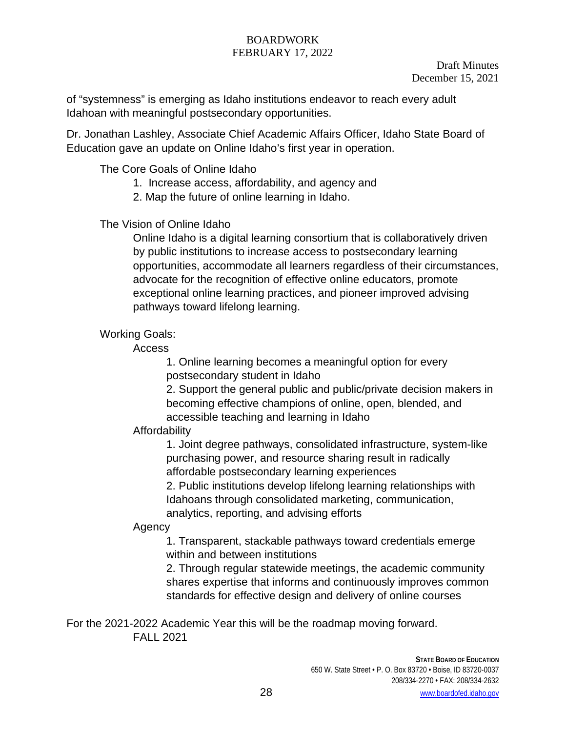of "systemness" is emerging as Idaho institutions endeavor to reach every adult Idahoan with meaningful postsecondary opportunities.

Dr. Jonathan Lashley, Associate Chief Academic Affairs Officer, Idaho State Board of Education gave an update on Online Idaho's first year in operation.

The Core Goals of Online Idaho

1. Increase access, affordability, and agency and

2. Map the future of online learning in Idaho.

The Vision of Online Idaho

Online Idaho is a digital learning consortium that is collaboratively driven by public institutions to increase access to postsecondary learning opportunities, accommodate all learners regardless of their circumstances, advocate for the recognition of effective online educators, promote exceptional online learning practices, and pioneer improved advising pathways toward lifelong learning.

Working Goals:

Access

1. Online learning becomes a meaningful option for every postsecondary student in Idaho

2. Support the general public and public/private decision makers in becoming effective champions of online, open, blended, and accessible teaching and learning in Idaho

# Affordability

1. Joint degree pathways, consolidated infrastructure, system-like purchasing power, and resource sharing result in radically affordable postsecondary learning experiences

2. Public institutions develop lifelong learning relationships with Idahoans through consolidated marketing, communication, analytics, reporting, and advising efforts

# Agency

1. Transparent, stackable pathways toward credentials emerge within and between institutions

2. Through regular statewide meetings, the academic community shares expertise that informs and continuously improves common standards for effective design and delivery of online courses

For the 2021-2022 Academic Year this will be the roadmap moving forward. FALL 2021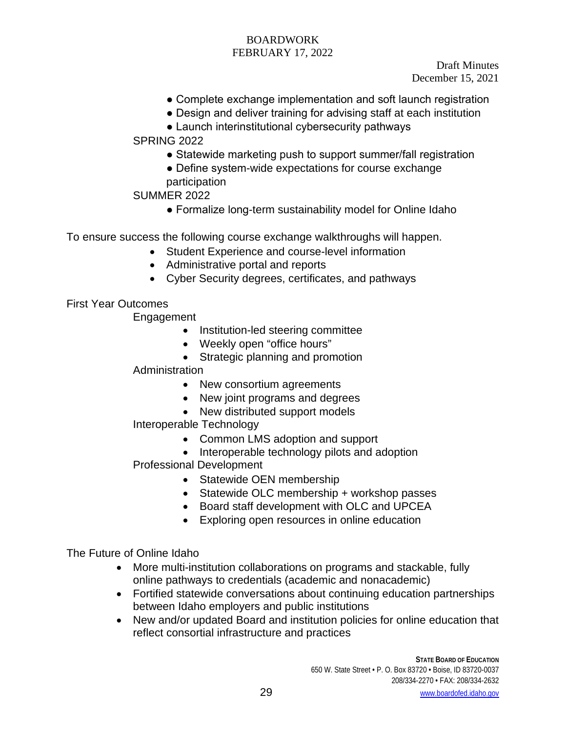Draft Minutes December 15, 2021

- Complete exchange implementation and soft launch registration
- Design and deliver training for advising staff at each institution
- Launch interinstitutional cybersecurity pathways

SPRING 2022

- Statewide marketing push to support summer/fall registration
- Define system-wide expectations for course exchange participation

# SUMMER 2022

• Formalize long-term sustainability model for Online Idaho

To ensure success the following course exchange walkthroughs will happen.

- Student Experience and course-level information
- Administrative portal and reports
- Cyber Security degrees, certificates, and pathways

First Year Outcomes

Engagement

- Institution-led steering committee
- Weekly open "office hours"
- Strategic planning and promotion

## **Administration**

- New consortium agreements
- New joint programs and degrees
- New distributed support models

# Interoperable Technology

- Common LMS adoption and support
- Interoperable technology pilots and adoption
- Professional Development
	- Statewide OEN membership
	- Statewide OLC membership + workshop passes
	- Board staff development with OLC and UPCEA
	- Exploring open resources in online education

The Future of Online Idaho

- More multi-institution collaborations on programs and stackable, fully online pathways to credentials (academic and nonacademic)
- Fortified statewide conversations about continuing education partnerships between Idaho employers and public institutions
- New and/or updated Board and institution policies for online education that reflect consortial infrastructure and practices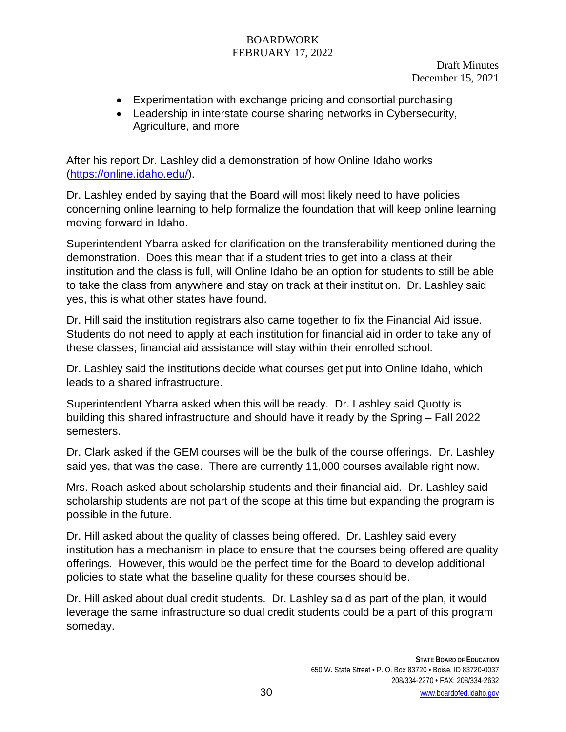Draft Minutes December 15, 2021

- Experimentation with exchange pricing and consortial purchasing
- Leadership in interstate course sharing networks in Cybersecurity, Agriculture, and more

After his report Dr. Lashley did a demonstration of how Online Idaho works [\(https://online.idaho.edu/\)](https://online.idaho.edu/).

Dr. Lashley ended by saying that the Board will most likely need to have policies concerning online learning to help formalize the foundation that will keep online learning moving forward in Idaho.

Superintendent Ybarra asked for clarification on the transferability mentioned during the demonstration. Does this mean that if a student tries to get into a class at their institution and the class is full, will Online Idaho be an option for students to still be able to take the class from anywhere and stay on track at their institution. Dr. Lashley said yes, this is what other states have found.

Dr. Hill said the institution registrars also came together to fix the Financial Aid issue. Students do not need to apply at each institution for financial aid in order to take any of these classes; financial aid assistance will stay within their enrolled school.

Dr. Lashley said the institutions decide what courses get put into Online Idaho, which leads to a shared infrastructure.

Superintendent Ybarra asked when this will be ready. Dr. Lashley said Quotty is building this shared infrastructure and should have it ready by the Spring – Fall 2022 semesters.

Dr. Clark asked if the GEM courses will be the bulk of the course offerings. Dr. Lashley said yes, that was the case. There are currently 11,000 courses available right now.

Mrs. Roach asked about scholarship students and their financial aid. Dr. Lashley said scholarship students are not part of the scope at this time but expanding the program is possible in the future.

Dr. Hill asked about the quality of classes being offered. Dr. Lashley said every institution has a mechanism in place to ensure that the courses being offered are quality offerings. However, this would be the perfect time for the Board to develop additional policies to state what the baseline quality for these courses should be.

Dr. Hill asked about dual credit students. Dr. Lashley said as part of the plan, it would leverage the same infrastructure so dual credit students could be a part of this program someday.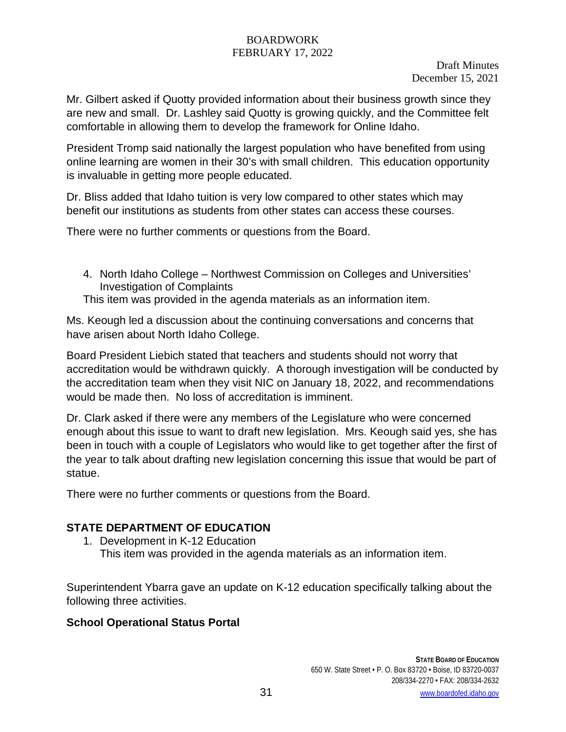Draft Minutes December 15, 2021

Mr. Gilbert asked if Quotty provided information about their business growth since they are new and small. Dr. Lashley said Quotty is growing quickly, and the Committee felt comfortable in allowing them to develop the framework for Online Idaho.

President Tromp said nationally the largest population who have benefited from using online learning are women in their 30's with small children. This education opportunity is invaluable in getting more people educated.

Dr. Bliss added that Idaho tuition is very low compared to other states which may benefit our institutions as students from other states can access these courses.

There were no further comments or questions from the Board.

4. North Idaho College – Northwest Commission on Colleges and Universities' Investigation of Complaints

This item was provided in the agenda materials as an information item.

Ms. Keough led a discussion about the continuing conversations and concerns that have arisen about North Idaho College.

Board President Liebich stated that teachers and students should not worry that accreditation would be withdrawn quickly. A thorough investigation will be conducted by the accreditation team when they visit NIC on January 18, 2022, and recommendations would be made then. No loss of accreditation is imminent.

Dr. Clark asked if there were any members of the Legislature who were concerned enough about this issue to want to draft new legislation. Mrs. Keough said yes, she has been in touch with a couple of Legislators who would like to get together after the first of the year to talk about drafting new legislation concerning this issue that would be part of statue.

There were no further comments or questions from the Board.

# **STATE DEPARTMENT OF EDUCATION**

1. Development in K-12 Education This item was provided in the agenda materials as an information item.

Superintendent Ybarra gave an update on K-12 education specifically talking about the following three activities.

# **School Operational Status Portal**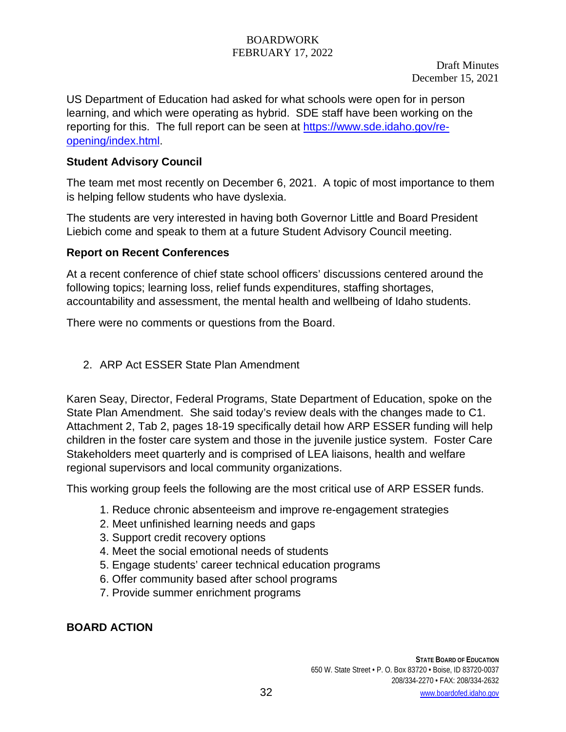US Department of Education had asked for what schools were open for in person learning, and which were operating as hybrid. SDE staff have been working on the reporting for this. The full report can be seen at [https://www.sde.idaho.gov/re](https://www.sde.idaho.gov/re-opening/index.html)[opening/index.html.](https://www.sde.idaho.gov/re-opening/index.html)

# **Student Advisory Council**

The team met most recently on December 6, 2021. A topic of most importance to them is helping fellow students who have dyslexia.

The students are very interested in having both Governor Little and Board President Liebich come and speak to them at a future Student Advisory Council meeting.

# **Report on Recent Conferences**

At a recent conference of chief state school officers' discussions centered around the following topics; learning loss, relief funds expenditures, staffing shortages, accountability and assessment, the mental health and wellbeing of Idaho students.

There were no comments or questions from the Board.

# 2. ARP Act ESSER State Plan Amendment

Karen Seay, Director, Federal Programs, State Department of Education, spoke on the State Plan Amendment. She said today's review deals with the changes made to C1. Attachment 2, Tab 2, pages 18-19 specifically detail how ARP ESSER funding will help children in the foster care system and those in the juvenile justice system. Foster Care Stakeholders meet quarterly and is comprised of LEA liaisons, health and welfare regional supervisors and local community organizations.

This working group feels the following are the most critical use of ARP ESSER funds.

- 1. Reduce chronic absenteeism and improve re-engagement strategies
- 2. Meet unfinished learning needs and gaps
- 3. Support credit recovery options
- 4. Meet the social emotional needs of students
- 5. Engage students' career technical education programs
- 6. Offer community based after school programs
- 7. Provide summer enrichment programs

# **BOARD ACTION**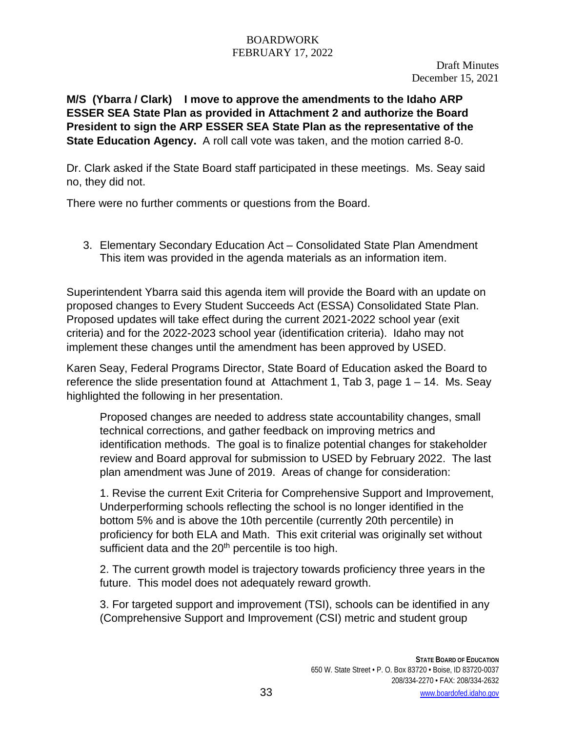**M/S (Ybarra / Clark) I move to approve the amendments to the Idaho ARP ESSER SEA State Plan as provided in Attachment 2 and authorize the Board President to sign the ARP ESSER SEA State Plan as the representative of the State Education Agency.** A roll call vote was taken, and the motion carried 8-0.

Dr. Clark asked if the State Board staff participated in these meetings. Ms. Seay said no, they did not.

There were no further comments or questions from the Board.

3. Elementary Secondary Education Act – Consolidated State Plan Amendment This item was provided in the agenda materials as an information item.

Superintendent Ybarra said this agenda item will provide the Board with an update on proposed changes to Every Student Succeeds Act (ESSA) Consolidated State Plan. Proposed updates will take effect during the current 2021-2022 school year (exit criteria) and for the 2022-2023 school year (identification criteria). Idaho may not implement these changes until the amendment has been approved by USED.

Karen Seay, Federal Programs Director, State Board of Education asked the Board to reference the slide presentation found at Attachment 1, Tab 3, page  $1 - 14$ . Ms. Seay highlighted the following in her presentation.

Proposed changes are needed to address state accountability changes, small technical corrections, and gather feedback on improving metrics and identification methods. The goal is to finalize potential changes for stakeholder review and Board approval for submission to USED by February 2022. The last plan amendment was June of 2019. Areas of change for consideration:

1. Revise the current Exit Criteria for Comprehensive Support and Improvement, Underperforming schools reflecting the school is no longer identified in the bottom 5% and is above the 10th percentile (currently 20th percentile) in proficiency for both ELA and Math. This exit criterial was originally set without sufficient data and the  $20<sup>th</sup>$  percentile is too high.

2. The current growth model is trajectory towards proficiency three years in the future. This model does not adequately reward growth.

3. For targeted support and improvement (TSI), schools can be identified in any (Comprehensive Support and Improvement (CSI) metric and student group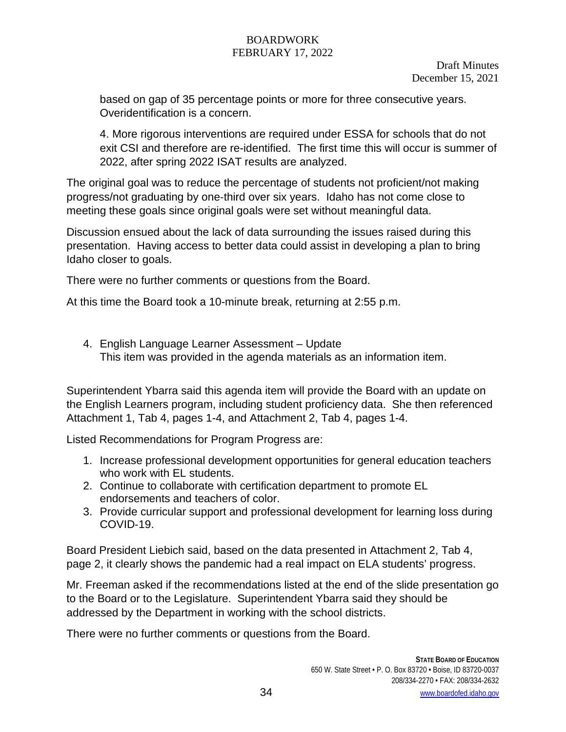based on gap of 35 percentage points or more for three consecutive years. Overidentification is a concern.

4. More rigorous interventions are required under ESSA for schools that do not exit CSI and therefore are re-identified. The first time this will occur is summer of 2022, after spring 2022 ISAT results are analyzed.

The original goal was to reduce the percentage of students not proficient/not making progress/not graduating by one‐third over six years. Idaho has not come close to meeting these goals since original goals were set without meaningful data.

Discussion ensued about the lack of data surrounding the issues raised during this presentation. Having access to better data could assist in developing a plan to bring Idaho closer to goals.

There were no further comments or questions from the Board.

At this time the Board took a 10-minute break, returning at 2:55 p.m.

4. English Language Learner Assessment – Update This item was provided in the agenda materials as an information item.

Superintendent Ybarra said this agenda item will provide the Board with an update on the English Learners program, including student proficiency data. She then referenced Attachment 1, Tab 4, pages 1-4, and Attachment 2, Tab 4, pages 1-4.

Listed Recommendations for Program Progress are:

- 1. Increase professional development opportunities for general education teachers who work with EL students.
- 2. Continue to collaborate with certification department to promote EL endorsements and teachers of color.
- 3. Provide curricular support and professional development for learning loss during COVID‐19.

Board President Liebich said, based on the data presented in Attachment 2, Tab 4, page 2, it clearly shows the pandemic had a real impact on ELA students' progress.

Mr. Freeman asked if the recommendations listed at the end of the slide presentation go to the Board or to the Legislature. Superintendent Ybarra said they should be addressed by the Department in working with the school districts.

There were no further comments or questions from the Board.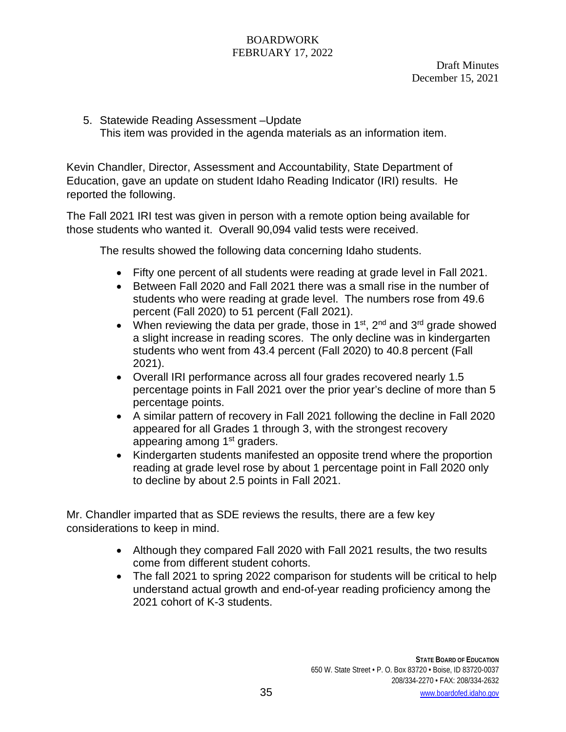5. Statewide Reading Assessment –Update This item was provided in the agenda materials as an information item.

Kevin Chandler, Director, Assessment and Accountability, State Department of Education, gave an update on student Idaho Reading Indicator (IRI) results. He reported the following.

The Fall 2021 IRI test was given in person with a remote option being available for those students who wanted it. Overall 90,094 valid tests were received.

The results showed the following data concerning Idaho students.

- Fifty one percent of all students were reading at grade level in Fall 2021.
- Between Fall 2020 and Fall 2021 there was a small rise in the number of students who were reading at grade level. The numbers rose from 49.6 percent (Fall 2020) to 51 percent (Fall 2021).
- When reviewing the data per grade, those in  $1^{st}$ ,  $2^{nd}$  and  $3^{rd}$  grade showed a slight increase in reading scores. The only decline was in kindergarten students who went from 43.4 percent (Fall 2020) to 40.8 percent (Fall 2021).
- Overall IRI performance across all four grades recovered nearly 1.5 percentage points in Fall 2021 over the prior year's decline of more than 5 percentage points.
- A similar pattern of recovery in Fall 2021 following the decline in Fall 2020 appeared for all Grades 1 through 3, with the strongest recovery appearing among 1<sup>st</sup> graders.
- Kindergarten students manifested an opposite trend where the proportion reading at grade level rose by about 1 percentage point in Fall 2020 only to decline by about 2.5 points in Fall 2021.

Mr. Chandler imparted that as SDE reviews the results, there are a few key considerations to keep in mind.

- Although they compared Fall 2020 with Fall 2021 results, the two results come from different student cohorts.
- The fall 2021 to spring 2022 comparison for students will be critical to help understand actual growth and end-of-year reading proficiency among the 2021 cohort of K-3 students.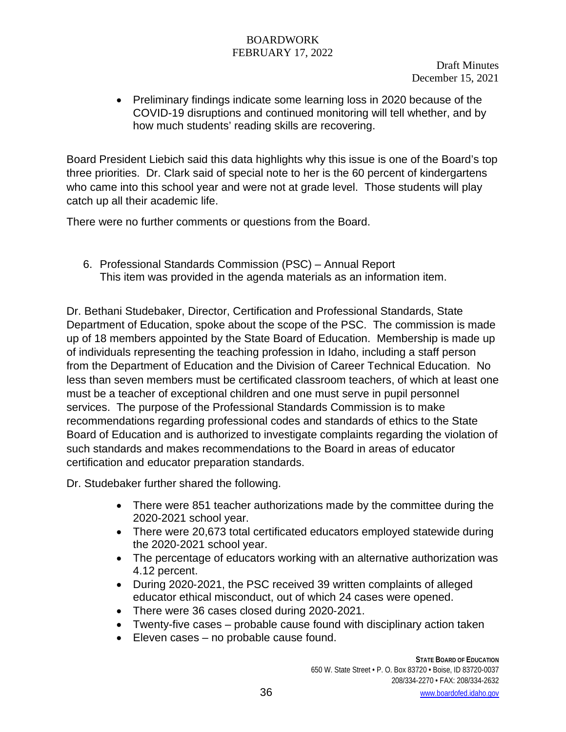Draft Minutes December 15, 2021

• Preliminary findings indicate some learning loss in 2020 because of the COVID-19 disruptions and continued monitoring will tell whether, and by how much students' reading skills are recovering.

Board President Liebich said this data highlights why this issue is one of the Board's top three priorities. Dr. Clark said of special note to her is the 60 percent of kindergartens who came into this school year and were not at grade level. Those students will play catch up all their academic life.

There were no further comments or questions from the Board.

6. Professional Standards Commission (PSC) – Annual Report This item was provided in the agenda materials as an information item.

Dr. Bethani Studebaker, Director, Certification and Professional Standards, State Department of Education, spoke about the scope of the PSC. The commission is made up of 18 members appointed by the State Board of Education. Membership is made up of individuals representing the teaching profession in Idaho, including a staff person from the Department of Education and the Division of Career Technical Education. No less than seven members must be certificated classroom teachers, of which at least one must be a teacher of exceptional children and one must serve in pupil personnel services. The purpose of the Professional Standards Commission is to make recommendations regarding professional codes and standards of ethics to the State Board of Education and is authorized to investigate complaints regarding the violation of such standards and makes recommendations to the Board in areas of educator certification and educator preparation standards.

Dr. Studebaker further shared the following.

- There were 851 teacher authorizations made by the committee during the 2020-2021 school year.
- There were 20,673 total certificated educators employed statewide during the 2020‐2021 school year.
- The percentage of educators working with an alternative authorization was 4.12 percent.
- During 2020‐2021, the PSC received 39 written complaints of alleged educator ethical misconduct, out of which 24 cases were opened.
- There were 36 cases closed during 2020-2021.
- Twenty-five cases probable cause found with disciplinary action taken
- Eleven cases no probable cause found.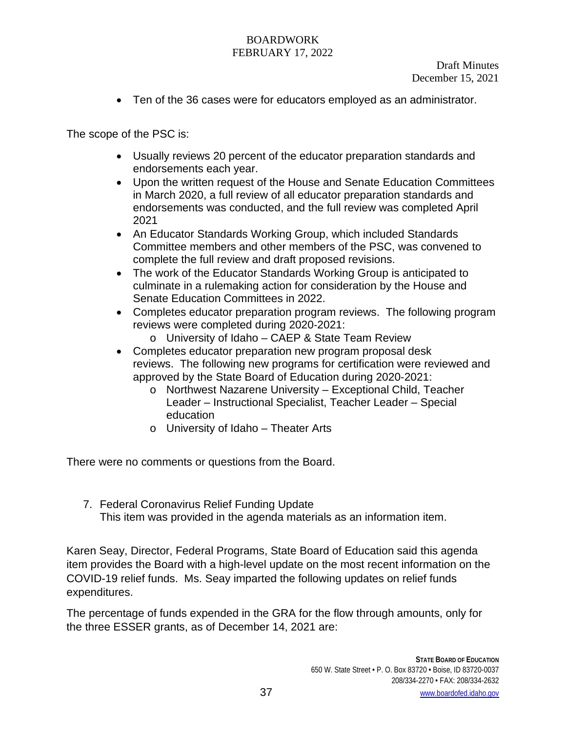• Ten of the 36 cases were for educators employed as an administrator.

The scope of the PSC is:

- Usually reviews 20 percent of the educator preparation standards and endorsements each year.
- Upon the written request of the House and Senate Education Committees in March 2020, a full review of all educator preparation standards and endorsements was conducted, and the full review was completed April 2021
- An Educator Standards Working Group, which included Standards Committee members and other members of the PSC, was convened to complete the full review and draft proposed revisions.
- The work of the Educator Standards Working Group is anticipated to culminate in a rulemaking action for consideration by the House and Senate Education Committees in 2022.
- Completes educator preparation program reviews. The following program reviews were completed during 2020‐2021:
	- o University of Idaho CAEP & State Team Review
- Completes educator preparation new program proposal desk reviews. The following new programs for certification were reviewed and approved by the State Board of Education during 2020‐2021:
	- o Northwest Nazarene University Exceptional Child, Teacher Leader – Instructional Specialist, Teacher Leader – Special education
	- o University of Idaho Theater Arts

There were no comments or questions from the Board.

7. Federal Coronavirus Relief Funding Update This item was provided in the agenda materials as an information item.

Karen Seay, Director, Federal Programs, State Board of Education said this agenda item provides the Board with a high-level update on the most recent information on the COVID-19 relief funds. Ms. Seay imparted the following updates on relief funds expenditures.

The percentage of funds expended in the GRA for the flow through amounts, only for the three ESSER grants, as of December 14, 2021 are: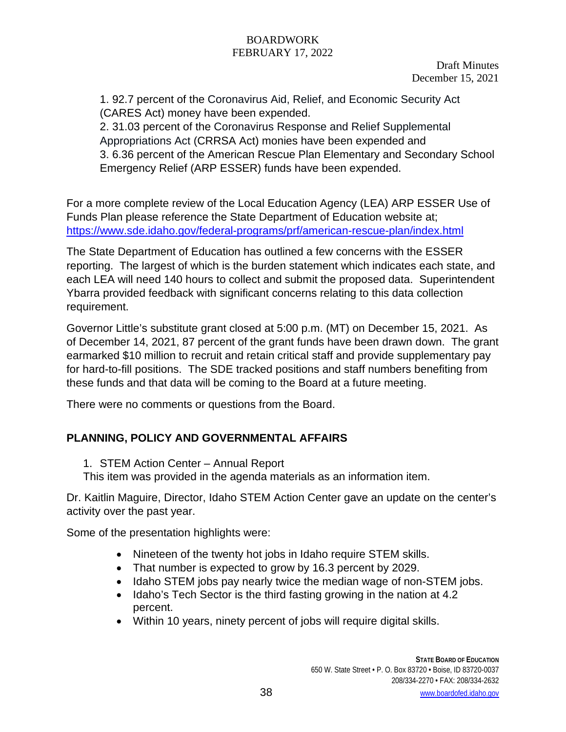1. 92.7 percent of the Coronavirus Aid, Relief, and Economic Security Act (CARES Act) money have been expended.

2. 31.03 percent of the Coronavirus Response and Relief Supplemental Appropriations Act (CRRSA Act) monies have been expended and 3. 6.36 percent of the American Rescue Plan Elementary and Secondary School Emergency Relief (ARP ESSER) funds have been expended.

For a more complete review of the Local Education Agency (LEA) ARP ESSER Use of Funds Plan please reference the State Department of Education website at; <https://www.sde.idaho.gov/federal-programs/prf/american-rescue-plan/index.html>

The State Department of Education has outlined a few concerns with the ESSER reporting. The largest of which is the burden statement which indicates each state, and each LEA will need 140 hours to collect and submit the proposed data. Superintendent Ybarra provided feedback with significant concerns relating to this data collection requirement.

Governor Little's substitute grant closed at 5:00 p.m. (MT) on December 15, 2021. As of December 14, 2021, 87 percent of the grant funds have been drawn down. The grant earmarked \$10 million to recruit and retain critical staff and provide supplementary pay for hard-to-fill positions. The SDE tracked positions and staff numbers benefiting from these funds and that data will be coming to the Board at a future meeting.

There were no comments or questions from the Board.

# **PLANNING, POLICY AND GOVERNMENTAL AFFAIRS**

- 1. STEM Action Center Annual Report
- This item was provided in the agenda materials as an information item.

Dr. Kaitlin Maguire, Director, Idaho STEM Action Center gave an update on the center's activity over the past year.

Some of the presentation highlights were:

- Nineteen of the twenty hot jobs in Idaho require STEM skills.
- That number is expected to grow by 16.3 percent by 2029.
- Idaho STEM jobs pay nearly twice the median wage of non-STEM jobs.
- Idaho's Tech Sector is the third fasting growing in the nation at 4.2 percent.
- Within 10 years, ninety percent of jobs will require digital skills.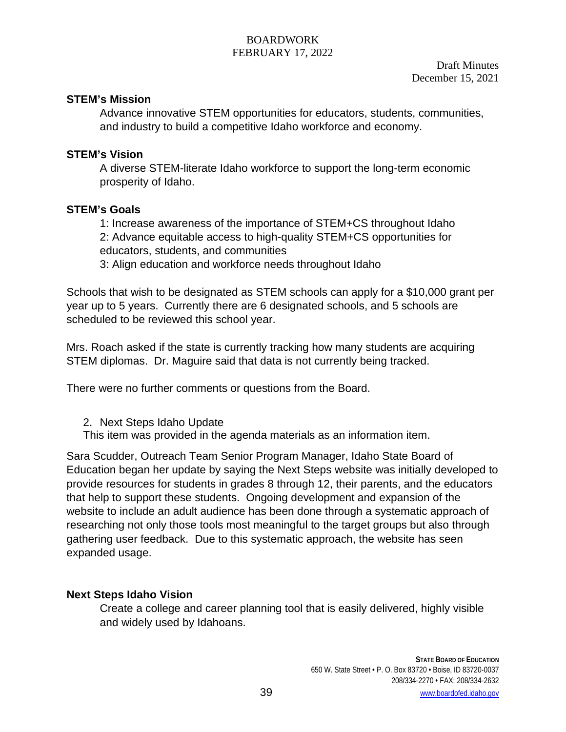## **STEM's Mission**

Advance innovative STEM opportunities for educators, students, communities, and industry to build a competitive Idaho workforce and economy.

## **STEM's Vision**

A diverse STEM-literate Idaho workforce to support the long-term economic prosperity of Idaho.

# **STEM's Goals**

1: Increase awareness of the importance of STEM+CS throughout Idaho 2: Advance equitable access to high-quality STEM+CS opportunities for educators, students, and communities

3: Align education and workforce needs throughout Idaho

Schools that wish to be designated as STEM schools can apply for a \$10,000 grant per year up to 5 years. Currently there are 6 designated schools, and 5 schools are scheduled to be reviewed this school year.

Mrs. Roach asked if the state is currently tracking how many students are acquiring STEM diplomas. Dr. Maguire said that data is not currently being tracked.

There were no further comments or questions from the Board.

2. Next Steps Idaho Update

This item was provided in the agenda materials as an information item.

Sara Scudder, Outreach Team Senior Program Manager, Idaho State Board of Education began her update by saying the Next Steps website was initially developed to provide resources for students in grades 8 through 12, their parents, and the educators that help to support these students. Ongoing development and expansion of the website to include an adult audience has been done through a systematic approach of researching not only those tools most meaningful to the target groups but also through gathering user feedback. Due to this systematic approach, the website has seen expanded usage.

# **Next Steps Idaho Vision**

Create a college and career planning tool that is easily delivered, highly visible and widely used by Idahoans.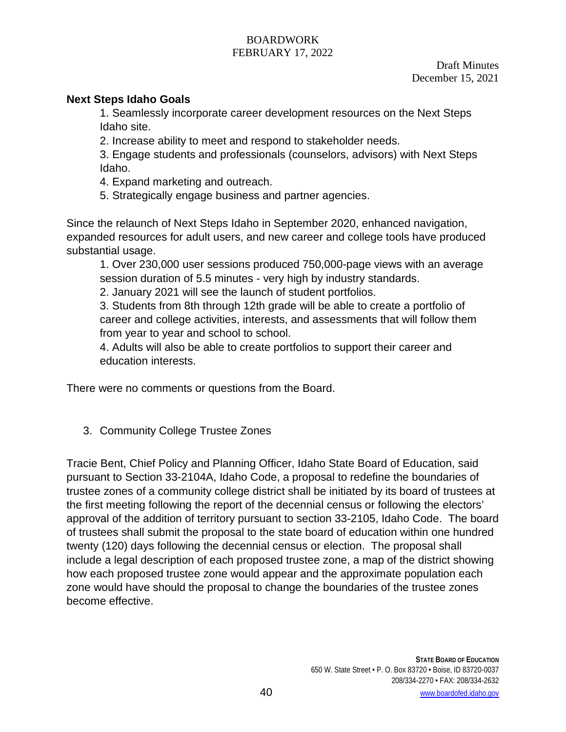## **Next Steps Idaho Goals**

1. Seamlessly incorporate career development resources on the Next Steps Idaho site.

2. Increase ability to meet and respond to stakeholder needs.

3. Engage students and professionals (counselors, advisors) with Next Steps Idaho.

4. Expand marketing and outreach.

5. Strategically engage business and partner agencies.

Since the relaunch of Next Steps Idaho in September 2020, enhanced navigation, expanded resources for adult users, and new career and college tools have produced substantial usage.

1. Over 230,000 user sessions produced 750,000-page views with an average session duration of 5.5 minutes - very high by industry standards.

2. January 2021 will see the launch of student portfolios.

3. Students from 8th through 12th grade will be able to create a portfolio of career and college activities, interests, and assessments that will follow them from year to year and school to school.

4. Adults will also be able to create portfolios to support their career and education interests.

There were no comments or questions from the Board.

3. Community College Trustee Zones

Tracie Bent, Chief Policy and Planning Officer, Idaho State Board of Education, said pursuant to Section 33-2104A, Idaho Code, a proposal to redefine the boundaries of trustee zones of a community college district shall be initiated by its board of trustees at the first meeting following the report of the decennial census or following the electors' approval of the addition of territory pursuant to section 33-2105, Idaho Code. The board of trustees shall submit the proposal to the state board of education within one hundred twenty (120) days following the decennial census or election. The proposal shall include a legal description of each proposed trustee zone, a map of the district showing how each proposed trustee zone would appear and the approximate population each zone would have should the proposal to change the boundaries of the trustee zones become effective.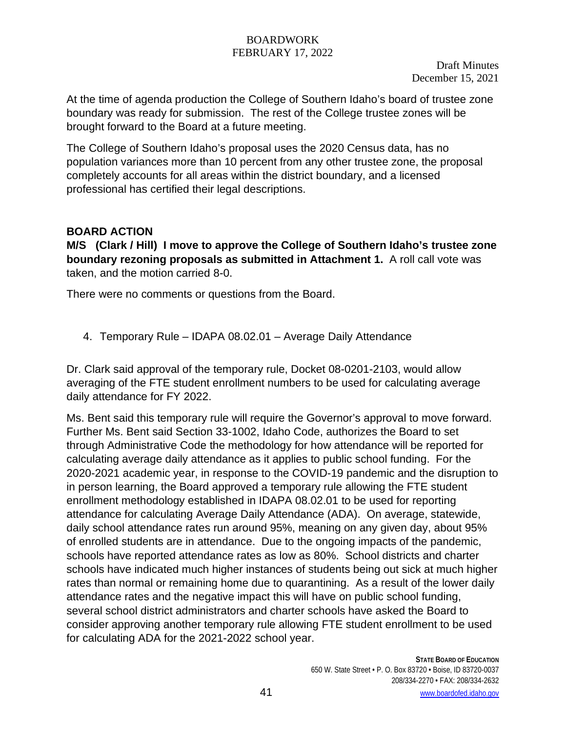Draft Minutes December 15, 2021

At the time of agenda production the College of Southern Idaho's board of trustee zone boundary was ready for submission. The rest of the College trustee zones will be brought forward to the Board at a future meeting.

The College of Southern Idaho's proposal uses the 2020 Census data, has no population variances more than 10 percent from any other trustee zone, the proposal completely accounts for all areas within the district boundary, and a licensed professional has certified their legal descriptions.

## **BOARD ACTION**

**M/S (Clark / Hill) I move to approve the College of Southern Idaho's trustee zone boundary rezoning proposals as submitted in Attachment 1.** A roll call vote was taken, and the motion carried 8-0.

There were no comments or questions from the Board.

4. Temporary Rule – IDAPA 08.02.01 – Average Daily Attendance

Dr. Clark said approval of the temporary rule, Docket 08-0201-2103, would allow averaging of the FTE student enrollment numbers to be used for calculating average daily attendance for FY 2022.

Ms. Bent said this temporary rule will require the Governor's approval to move forward. Further Ms. Bent said Section 33-1002, Idaho Code, authorizes the Board to set through Administrative Code the methodology for how attendance will be reported for calculating average daily attendance as it applies to public school funding. For the 2020-2021 academic year, in response to the COVID-19 pandemic and the disruption to in person learning, the Board approved a temporary rule allowing the FTE student enrollment methodology established in IDAPA 08.02.01 to be used for reporting attendance for calculating Average Daily Attendance (ADA). On average, statewide, daily school attendance rates run around 95%, meaning on any given day, about 95% of enrolled students are in attendance. Due to the ongoing impacts of the pandemic, schools have reported attendance rates as low as 80%. School districts and charter schools have indicated much higher instances of students being out sick at much higher rates than normal or remaining home due to quarantining. As a result of the lower daily attendance rates and the negative impact this will have on public school funding, several school district administrators and charter schools have asked the Board to consider approving another temporary rule allowing FTE student enrollment to be used for calculating ADA for the 2021-2022 school year.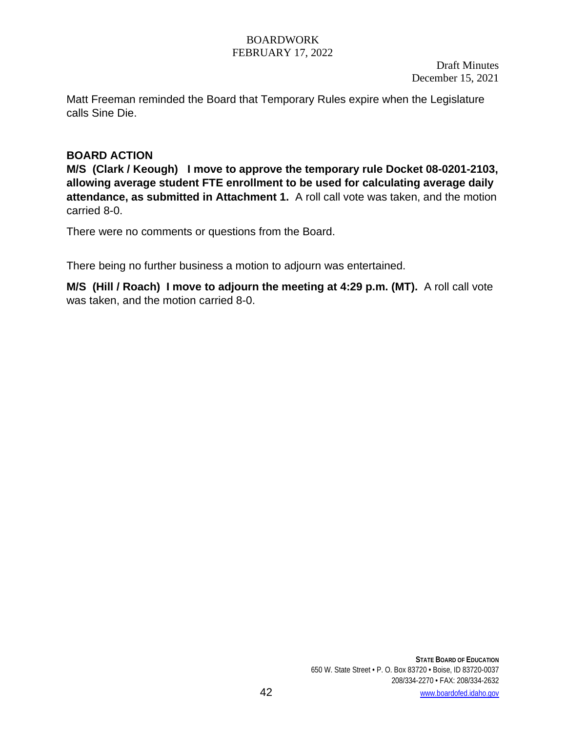Matt Freeman reminded the Board that Temporary Rules expire when the Legislature calls Sine Die.

## **BOARD ACTION**

**M/S (Clark / Keough) I move to approve the temporary rule Docket 08-0201-2103, allowing average student FTE enrollment to be used for calculating average daily attendance, as submitted in Attachment 1.** A roll call vote was taken, and the motion carried 8-0.

There were no comments or questions from the Board.

There being no further business a motion to adjourn was entertained.

**M/S (Hill / Roach) I move to adjourn the meeting at 4:29 p.m. (MT).** A roll call vote was taken, and the motion carried 8-0.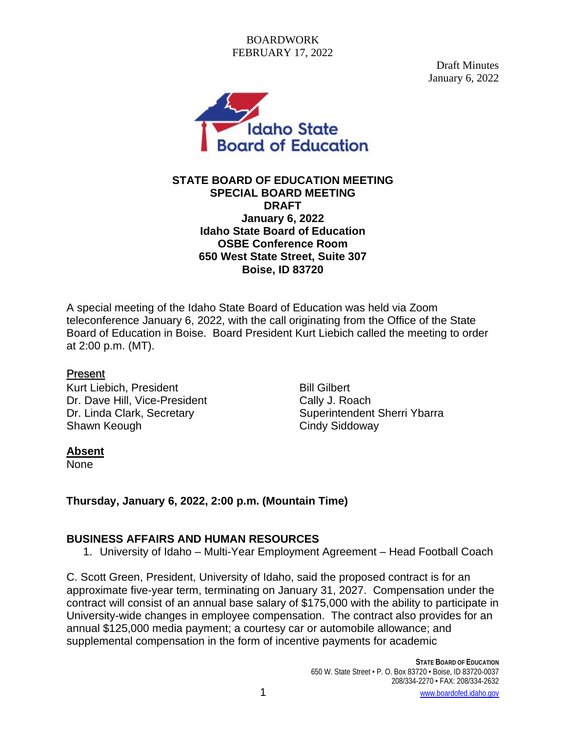Draft Minutes January 6, 2022



### **STATE BOARD OF EDUCATION MEETING SPECIAL BOARD MEETING DRAFT January 6, 2022 Idaho State Board of Education OSBE Conference Room 650 West State Street, Suite 307 Boise, ID 83720**

A special meeting of the Idaho State Board of Education was held via Zoom teleconference January 6, 2022, with the call originating from the Office of the State Board of Education in Boise. Board President Kurt Liebich called the meeting to order at 2:00 p.m. (MT).

### Present

Kurt Liebich, President **Bill Gilbert** Dr. Dave Hill, Vice-President Cally J. Roach Shawn Keough Cindy Siddoway

Dr. Linda Clark, Secretary Superintendent Sherri Ybarra

# **Absent**

None

# **Thursday, January 6, 2022, 2:00 p.m. (Mountain Time)**

# **BUSINESS AFFAIRS AND HUMAN RESOURCES**

1. University of Idaho – Multi-Year Employment Agreement – Head Football Coach

C. Scott Green, President, University of Idaho, said the proposed contract is for an approximate five-year term, terminating on January 31, 2027. Compensation under the contract will consist of an annual base salary of \$175,000 with the ability to participate in University-wide changes in employee compensation. The contract also provides for an annual \$125,000 media payment; a courtesy car or automobile allowance; and supplemental compensation in the form of incentive payments for academic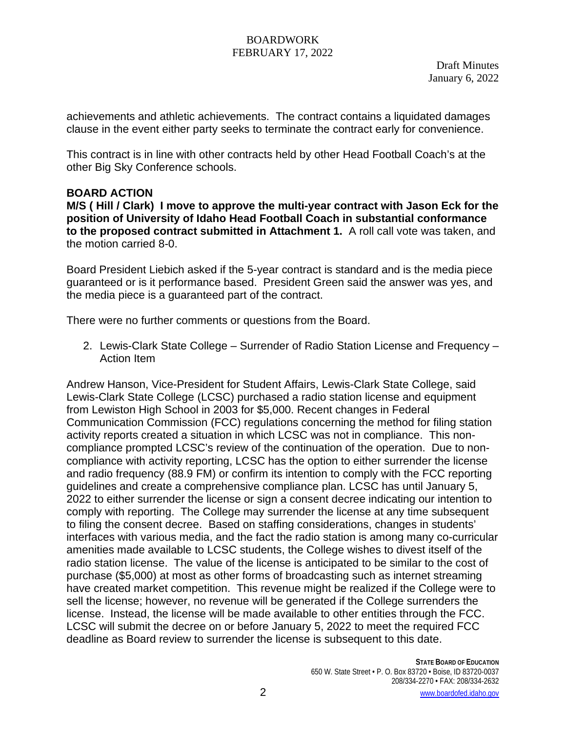Draft Minutes January 6, 2022

achievements and athletic achievements. The contract contains a liquidated damages clause in the event either party seeks to terminate the contract early for convenience.

This contract is in line with other contracts held by other Head Football Coach's at the other Big Sky Conference schools.

### **BOARD ACTION**

**M/S ( Hill / Clark) I move to approve the multi-year contract with Jason Eck for the position of University of Idaho Head Football Coach in substantial conformance to the proposed contract submitted in Attachment 1.** A roll call vote was taken, and the motion carried 8-0.

Board President Liebich asked if the 5-year contract is standard and is the media piece guaranteed or is it performance based. President Green said the answer was yes, and the media piece is a guaranteed part of the contract.

There were no further comments or questions from the Board.

2. Lewis-Clark State College – Surrender of Radio Station License and Frequency – Action Item

Andrew Hanson, Vice-President for Student Affairs, Lewis-Clark State College, said Lewis-Clark State College (LCSC) purchased a radio station license and equipment from Lewiston High School in 2003 for \$5,000. Recent changes in Federal Communication Commission (FCC) regulations concerning the method for filing station activity reports created a situation in which LCSC was not in compliance. This noncompliance prompted LCSC's review of the continuation of the operation. Due to noncompliance with activity reporting, LCSC has the option to either surrender the license and radio frequency (88.9 FM) or confirm its intention to comply with the FCC reporting guidelines and create a comprehensive compliance plan. LCSC has until January 5, 2022 to either surrender the license or sign a consent decree indicating our intention to comply with reporting. The College may surrender the license at any time subsequent to filing the consent decree. Based on staffing considerations, changes in students' interfaces with various media, and the fact the radio station is among many co-curricular amenities made available to LCSC students, the College wishes to divest itself of the radio station license. The value of the license is anticipated to be similar to the cost of purchase (\$5,000) at most as other forms of broadcasting such as internet streaming have created market competition. This revenue might be realized if the College were to sell the license; however, no revenue will be generated if the College surrenders the license. Instead, the license will be made available to other entities through the FCC. LCSC will submit the decree on or before January 5, 2022 to meet the required FCC deadline as Board review to surrender the license is subsequent to this date.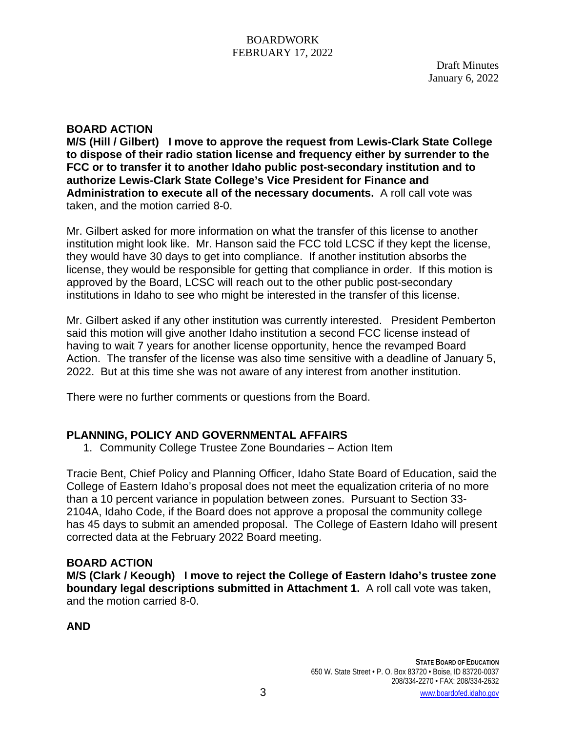Draft Minutes January 6, 2022

## **BOARD ACTION**

**M/S (Hill / Gilbert) I move to approve the request from Lewis-Clark State College to dispose of their radio station license and frequency either by surrender to the FCC or to transfer it to another Idaho public post-secondary institution and to authorize Lewis-Clark State College's Vice President for Finance and Administration to execute all of the necessary documents.** A roll call vote was taken, and the motion carried 8-0.

Mr. Gilbert asked for more information on what the transfer of this license to another institution might look like. Mr. Hanson said the FCC told LCSC if they kept the license, they would have 30 days to get into compliance. If another institution absorbs the license, they would be responsible for getting that compliance in order. If this motion is approved by the Board, LCSC will reach out to the other public post-secondary institutions in Idaho to see who might be interested in the transfer of this license.

Mr. Gilbert asked if any other institution was currently interested. President Pemberton said this motion will give another Idaho institution a second FCC license instead of having to wait 7 years for another license opportunity, hence the revamped Board Action. The transfer of the license was also time sensitive with a deadline of January 5, 2022. But at this time she was not aware of any interest from another institution.

There were no further comments or questions from the Board.

# **PLANNING, POLICY AND GOVERNMENTAL AFFAIRS**

1. Community College Trustee Zone Boundaries – Action Item

Tracie Bent, Chief Policy and Planning Officer, Idaho State Board of Education, said the College of Eastern Idaho's proposal does not meet the equalization criteria of no more than a 10 percent variance in population between zones. Pursuant to Section 33- 2104A, Idaho Code, if the Board does not approve a proposal the community college has 45 days to submit an amended proposal. The College of Eastern Idaho will present corrected data at the February 2022 Board meeting.

### **BOARD ACTION**

**M/S (Clark / Keough) I move to reject the College of Eastern Idaho's trustee zone boundary legal descriptions submitted in Attachment 1.** A roll call vote was taken, and the motion carried 8-0.

**AND**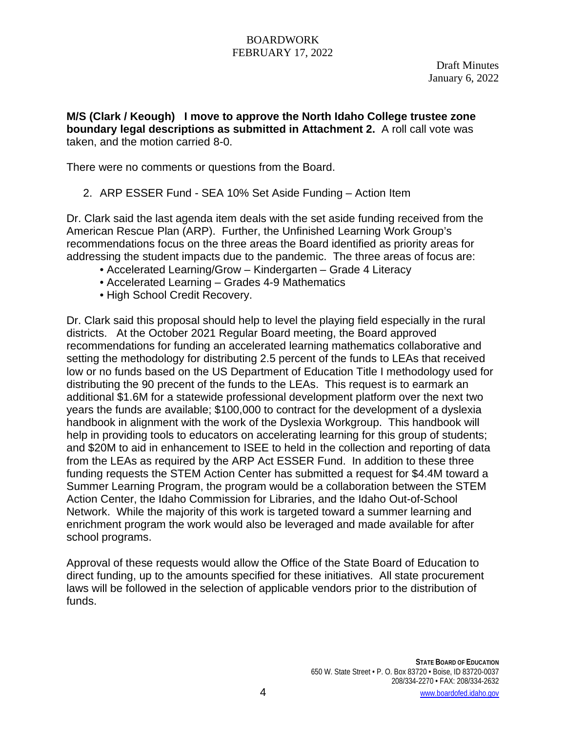**M/S (Clark / Keough) I move to approve the North Idaho College trustee zone boundary legal descriptions as submitted in Attachment 2.** A roll call vote was taken, and the motion carried 8-0.

There were no comments or questions from the Board.

2. ARP ESSER Fund - SEA 10% Set Aside Funding – Action Item

Dr. Clark said the last agenda item deals with the set aside funding received from the American Rescue Plan (ARP). Further, the Unfinished Learning Work Group's recommendations focus on the three areas the Board identified as priority areas for addressing the student impacts due to the pandemic. The three areas of focus are:

- Accelerated Learning/Grow Kindergarten Grade 4 Literacy
- Accelerated Learning Grades 4-9 Mathematics
- High School Credit Recovery.

Dr. Clark said this proposal should help to level the playing field especially in the rural districts. At the October 2021 Regular Board meeting, the Board approved recommendations for funding an accelerated learning mathematics collaborative and setting the methodology for distributing 2.5 percent of the funds to LEAs that received low or no funds based on the US Department of Education Title I methodology used for distributing the 90 precent of the funds to the LEAs. This request is to earmark an additional \$1.6M for a statewide professional development platform over the next two years the funds are available; \$100,000 to contract for the development of a dyslexia handbook in alignment with the work of the Dyslexia Workgroup. This handbook will help in providing tools to educators on accelerating learning for this group of students; and \$20M to aid in enhancement to ISEE to held in the collection and reporting of data from the LEAs as required by the ARP Act ESSER Fund. In addition to these three funding requests the STEM Action Center has submitted a request for \$4.4M toward a Summer Learning Program, the program would be a collaboration between the STEM Action Center, the Idaho Commission for Libraries, and the Idaho Out-of-School Network. While the majority of this work is targeted toward a summer learning and enrichment program the work would also be leveraged and made available for after school programs.

Approval of these requests would allow the Office of the State Board of Education to direct funding, up to the amounts specified for these initiatives. All state procurement laws will be followed in the selection of applicable vendors prior to the distribution of funds.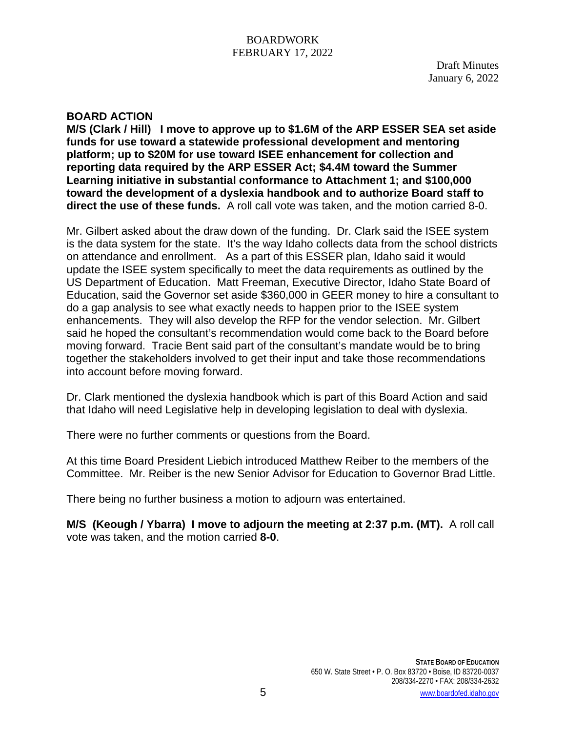Draft Minutes January 6, 2022

### **BOARD ACTION**

**M/S (Clark / Hill) I move to approve up to \$1.6M of the ARP ESSER SEA set aside funds for use toward a statewide professional development and mentoring platform; up to \$20M for use toward ISEE enhancement for collection and reporting data required by the ARP ESSER Act; \$4.4M toward the Summer Learning initiative in substantial conformance to Attachment 1; and \$100,000 toward the development of a dyslexia handbook and to authorize Board staff to direct the use of these funds.** A roll call vote was taken, and the motion carried 8-0.

Mr. Gilbert asked about the draw down of the funding. Dr. Clark said the ISEE system is the data system for the state. It's the way Idaho collects data from the school districts on attendance and enrollment. As a part of this ESSER plan, Idaho said it would update the ISEE system specifically to meet the data requirements as outlined by the US Department of Education. Matt Freeman, Executive Director, Idaho State Board of Education, said the Governor set aside \$360,000 in GEER money to hire a consultant to do a gap analysis to see what exactly needs to happen prior to the ISEE system enhancements. They will also develop the RFP for the vendor selection. Mr. Gilbert said he hoped the consultant's recommendation would come back to the Board before moving forward. Tracie Bent said part of the consultant's mandate would be to bring together the stakeholders involved to get their input and take those recommendations into account before moving forward.

Dr. Clark mentioned the dyslexia handbook which is part of this Board Action and said that Idaho will need Legislative help in developing legislation to deal with dyslexia.

There were no further comments or questions from the Board.

At this time Board President Liebich introduced Matthew Reiber to the members of the Committee. Mr. Reiber is the new Senior Advisor for Education to Governor Brad Little.

There being no further business a motion to adjourn was entertained.

**M/S (Keough / Ybarra) I move to adjourn the meeting at 2:37 p.m. (MT).** A roll call vote was taken, and the motion carried **8-0**.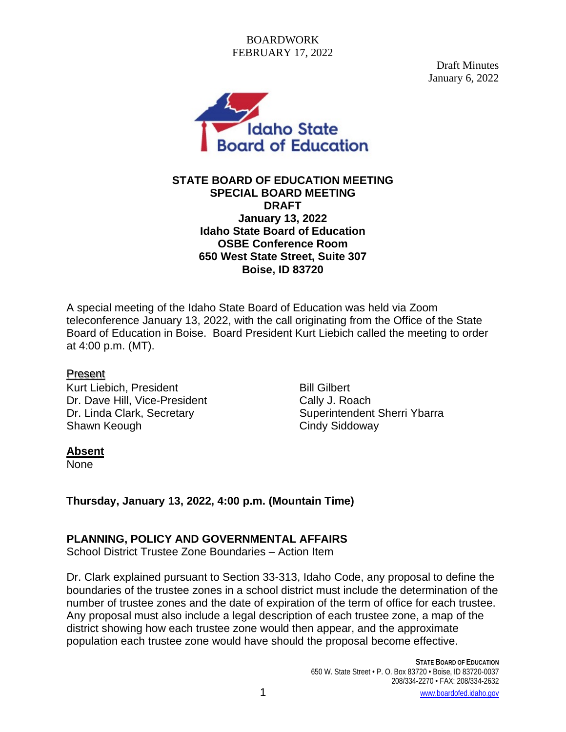Draft Minutes January 6, 2022



### **STATE BOARD OF EDUCATION MEETING SPECIAL BOARD MEETING DRAFT January 13, 2022 Idaho State Board of Education OSBE Conference Room 650 West State Street, Suite 307 Boise, ID 83720**

A special meeting of the Idaho State Board of Education was held via Zoom teleconference January 13, 2022, with the call originating from the Office of the State Board of Education in Boise. Board President Kurt Liebich called the meeting to order at 4:00 p.m. (MT).

### Present

Kurt Liebich, President **Bill Gilbert** Dr. Dave Hill, Vice-President Cally J. Roach Shawn Keough Cindy Siddoway

Dr. Linda Clark, Secretary Superintendent Sherri Ybarra

# **Absent**

None

**Thursday, January 13, 2022, 4:00 p.m. (Mountain Time)** 

# **PLANNING, POLICY AND GOVERNMENTAL AFFAIRS**

School District Trustee Zone Boundaries – Action Item

Dr. Clark explained pursuant to Section 33-313, Idaho Code, any proposal to define the boundaries of the trustee zones in a school district must include the determination of the number of trustee zones and the date of expiration of the term of office for each trustee. Any proposal must also include a legal description of each trustee zone, a map of the district showing how each trustee zone would then appear, and the approximate population each trustee zone would have should the proposal become effective.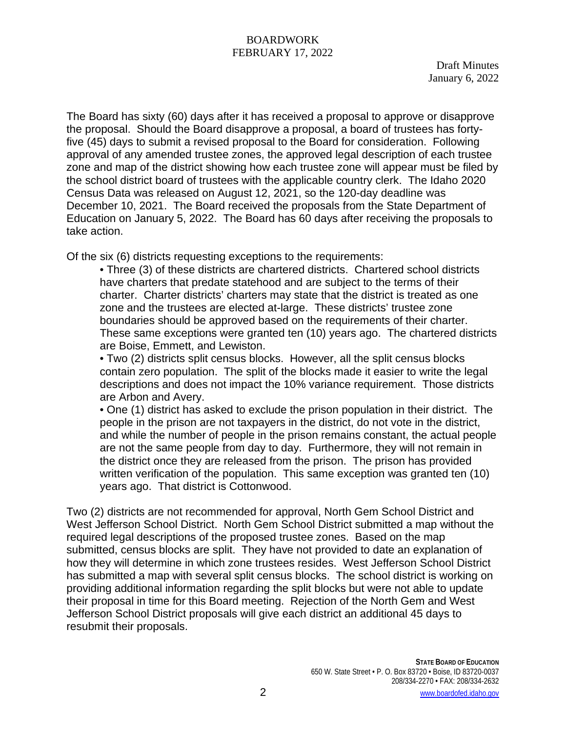Draft Minutes January 6, 2022

The Board has sixty (60) days after it has received a proposal to approve or disapprove the proposal. Should the Board disapprove a proposal, a board of trustees has fortyfive (45) days to submit a revised proposal to the Board for consideration. Following approval of any amended trustee zones, the approved legal description of each trustee zone and map of the district showing how each trustee zone will appear must be filed by the school district board of trustees with the applicable country clerk. The Idaho 2020 Census Data was released on August 12, 2021, so the 120-day deadline was December 10, 2021. The Board received the proposals from the State Department of Education on January 5, 2022. The Board has 60 days after receiving the proposals to take action.

Of the six (6) districts requesting exceptions to the requirements:

• Three (3) of these districts are chartered districts. Chartered school districts have charters that predate statehood and are subject to the terms of their charter. Charter districts' charters may state that the district is treated as one zone and the trustees are elected at-large. These districts' trustee zone boundaries should be approved based on the requirements of their charter. These same exceptions were granted ten (10) years ago. The chartered districts are Boise, Emmett, and Lewiston.

• Two (2) districts split census blocks. However, all the split census blocks contain zero population. The split of the blocks made it easier to write the legal descriptions and does not impact the 10% variance requirement. Those districts are Arbon and Avery.

• One (1) district has asked to exclude the prison population in their district. The people in the prison are not taxpayers in the district, do not vote in the district, and while the number of people in the prison remains constant, the actual people are not the same people from day to day. Furthermore, they will not remain in the district once they are released from the prison. The prison has provided written verification of the population. This same exception was granted ten (10) years ago. That district is Cottonwood.

Two (2) districts are not recommended for approval, North Gem School District and West Jefferson School District. North Gem School District submitted a map without the required legal descriptions of the proposed trustee zones. Based on the map submitted, census blocks are split. They have not provided to date an explanation of how they will determine in which zone trustees resides. West Jefferson School District has submitted a map with several split census blocks. The school district is working on providing additional information regarding the split blocks but were not able to update their proposal in time for this Board meeting. Rejection of the North Gem and West Jefferson School District proposals will give each district an additional 45 days to resubmit their proposals.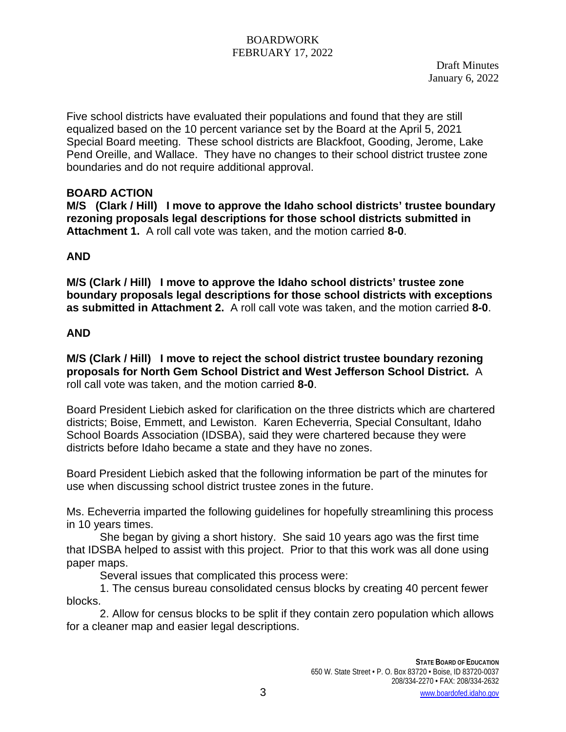Draft Minutes January 6, 2022

Five school districts have evaluated their populations and found that they are still equalized based on the 10 percent variance set by the Board at the April 5, 2021 Special Board meeting. These school districts are Blackfoot, Gooding, Jerome, Lake Pend Oreille, and Wallace. They have no changes to their school district trustee zone boundaries and do not require additional approval.

## **BOARD ACTION**

**M/S (Clark / Hill) I move to approve the Idaho school districts' trustee boundary rezoning proposals legal descriptions for those school districts submitted in Attachment 1.** A roll call vote was taken, and the motion carried **8-0**.

# **AND**

**M/S (Clark / Hill) I move to approve the Idaho school districts' trustee zone boundary proposals legal descriptions for those school districts with exceptions as submitted in Attachment 2.** A roll call vote was taken, and the motion carried **8-0**.

## **AND**

**M/S (Clark / Hill) I move to reject the school district trustee boundary rezoning proposals for North Gem School District and West Jefferson School District.** A roll call vote was taken, and the motion carried **8-0**.

Board President Liebich asked for clarification on the three districts which are chartered districts; Boise, Emmett, and Lewiston. Karen Echeverria, Special Consultant, Idaho School Boards Association (IDSBA), said they were chartered because they were districts before Idaho became a state and they have no zones.

Board President Liebich asked that the following information be part of the minutes for use when discussing school district trustee zones in the future.

Ms. Echeverria imparted the following guidelines for hopefully streamlining this process in 10 years times.

She began by giving a short history. She said 10 years ago was the first time that IDSBA helped to assist with this project. Prior to that this work was all done using paper maps.

Several issues that complicated this process were:

1. The census bureau consolidated census blocks by creating 40 percent fewer blocks.

2. Allow for census blocks to be split if they contain zero population which allows for a cleaner map and easier legal descriptions.